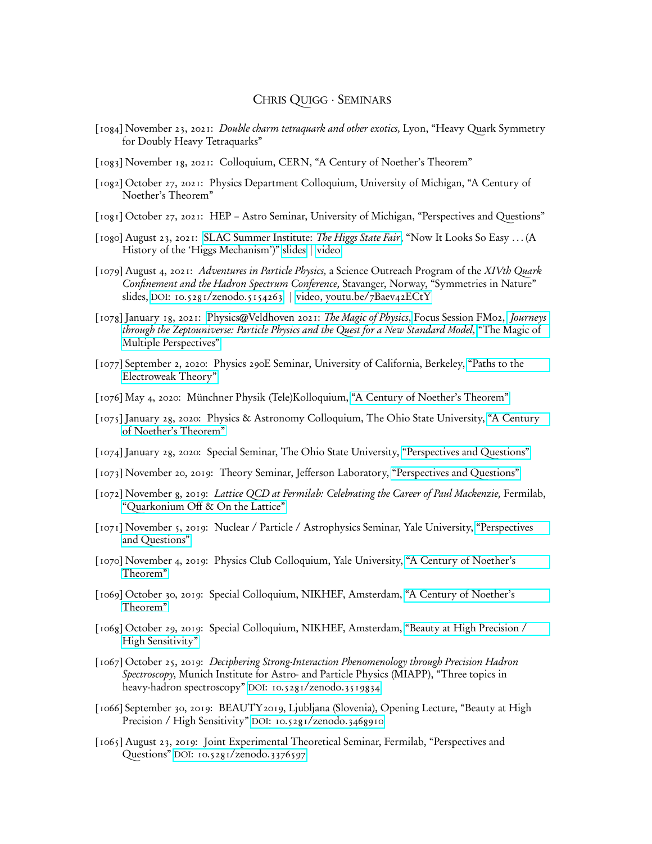## CHRIS QUIGG · SEMINARS

- [1084] November 23, 2021: Double charm tetraquark and other exotics, Lyon, "Heavy Quark Symmetry for Doubly Heavy Tetraquarks"
- [1083] November 18, 2021: Colloquium, CERN, "A Century of Noether's Theorem"
- [1082] October 27, 2021: Physics Department Colloquium, University of Michigan, "A Century of Noether's Theorem"
- [1081] October 27, 2021: HEP Astro Seminar, University of Michigan, "Perspectives and Questions"
- [1080] August 23, 2021: [SLAC Summer Institute:](https://conf.slac.stanford.edu/ssi2021/) The Higgs State Fair, "Now It Looks So Easy ... (A History of the 'Higgs Mechanism')" [slides](https://indico.slac.stanford.edu/event/6758/contributions/2620/attachments/1202/3130/EWSB-SSI2012perfR.pdf) | [video](https://stanford.zoom.us/rec/play/NpaZeUx00_0ZyV05rasP2Sb1gkwkMgtpTDg83xn2gghUoxJxSVv5sf8zcCVNoFXOoLRenFqhXNSqUKzy.NnpIK9iS6-_1I7GM?continueMode=true)
- [1079] August 4, 2021: Adventures in Particle Physics, a Science Outreach Program of the XIVth Quark Confinement and the Hadron Spectrum Conference, Stavanger, Norway, "Symmetries in Nature" slides, DOI[: 10.5281/zenodo.5154263](https://dx.doi.org/10.5281/zenodo.5154263) | [video, youtu.be/7Baev42ECtY](https://youtu.be/7Baev42ECtY)
- [1078] January 18, 2021: [Physics@Veldhoven 2021:](https://www.physicsveldhovenonline.nl) The Magic of Physics, Focus Session FM02, [Journeys](https://www.physicsveldhovenonline.nl/schedule/ce4ebcf3-1388-4cdf-9a93-3b4476ea4f60) [through the Zeptouniverse: Particle Physics and the Quest for a New Standard Model,](https://www.physicsveldhovenonline.nl/schedule/ce4ebcf3-1388-4cdf-9a93-3b4476ea4f60) ["The Magic of](https://lutece.fnal.gov/Talks/CQVeldhovenFM02.1R.pdf) [Multiple Perspectives"](https://lutece.fnal.gov/Talks/CQVeldhovenFM02.1R.pdf)
- [1077] September 2, 2020: Physics 290E Seminar, University of California, Berkeley, ["Paths to the](https://indico.physics.lbl.gov/event/1237/contributions/5006/attachments/2388/3109/CQ290Er.pdf) [Electroweak Theory"](https://indico.physics.lbl.gov/event/1237/contributions/5006/attachments/2388/3109/CQ290Er.pdf)
- [1076] May 4, 2020: Münchner Physik (Tele)Kolloquium, ["A Century of Noether's Theorem"](https://lutece.fnal.gov/Talks/CenturyENMPK.pdf)
- [1075] January 28, 2020: Physics & Astronomy Colloquium, The Ohio State University, ["A Century](https://boudin.fnal.gov/CenturyENOhioStateO.pdf) [of Noether's Theorem"](https://boudin.fnal.gov/CenturyENOhioStateO.pdf)
- [1074] January 28, 2020: Special Seminar, The Ohio State University, ["Perspectives and Questions"](https://boudin.fnal.gov/OSUPerspectives2020printO.pdf)
- [1073] November 20, 2019: Theory Seminar, Jefferson Laboratory, ["Perspectives and Questions"](https://www.jlab.org/sites/default/files/theory/files/quigg_jlabperspectives2019print.pdf)
- [1072] November 8, 2019: Lattice QCD at Fermilab: Celebrating the Career of Paul Mackenzie, Fermilab, ["Quarkonium Off & On the Lattice"](https://indico.fnal.gov/event/21750/session/6/contribution/15/material/slides/0.pdf)
- [1071] November 5, 2019: Nuclear / Particle / Astrophysics Seminar, Yale University, ["Perspectives](https://indico.wlab.yale.edu/event/365/attachments/270/485/YalePerspectives2019print.pdf) [and Questions"](https://indico.wlab.yale.edu/event/365/attachments/270/485/YalePerspectives2019print.pdf)
- [1070] November 4, 2019: Physics Club Colloquium, Yale University, ["A Century of Noether's](https://physics.yale.edu/sites/default/files/files/CenturyENYale.pdf) [Theorem"](https://physics.yale.edu/sites/default/files/files/CenturyENYale.pdf)
- [1069] October 30, 2019: Special Colloquium, NIKHEF, Amsterdam, ["A Century of Noether's](https://indico.nikhef.nl/event/1971/material/slides/0.pdf) [Theorem"](https://indico.nikhef.nl/event/1971/material/slides/0.pdf)
- [1068] October 29, 2019: Special Colloquium, NIKHEF, Amsterdam, ["Beauty at High Precision /](https://indico.nikhef.nl/event/1929/material/slides/0.pdf) [High Sensitivity"](https://indico.nikhef.nl/event/1929/material/slides/0.pdf)
- [1067] October 25, 2019: Deciphering Strong-Interaction Phenomenology through Precision Hadron Spectroscopy, Munich Institute for Astro- and Particle Physics (MIAPP), "Three topics in heavy-hadron spectroscopy" DOI[: 10.5281/zenodo.3519834](https://dx.doi.org/10.5281/zenodo.3519834)
- [1066] September 30, 2019: BEAUTY2019, Ljubljana (Slovenia), Opening Lecture, "Beauty at High Precision / High Sensitivity" DOI[: 10.5281/zenodo.3468910](https://dx.doi.org/10.5281/zenodo.3468910)
- [1065] August 23, 2019: Joint Experimental Theoretical Seminar, Fermilab, "Perspectives and Questions" DOI[: 10.5281/zenodo.3376597](https://dx.doi.org/10.5281/zenodo.3376597)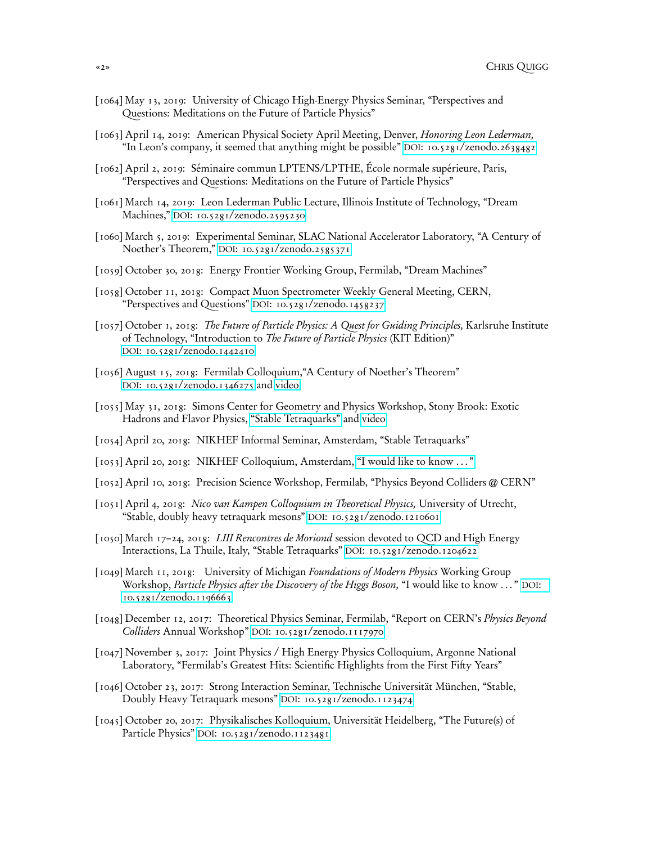- [1064] May 13, 2019: University of Chicago High-Energy Physics Seminar, "Perspectives and Questions: Meditations on the Future of Particle Physics"
- [1063] April 14, 2019: American Physical Society April Meeting, Denver, Honoring Leon Lederman, "In Leon's company, it seemed that anything might be possible" DOI[: 10.5281/zenodo.2638482](https://dx.doi.org/10.5281/zenodo.2638482)
- [1062] April 2, 2019: Séminaire commun LPTENS/LPTHE, École normale supérieure, Paris, "Perspectives and Questions: Meditations on the Future of Particle Physics"
- [1061] March 14, 2019: Leon Lederman Public Lecture, Illinois Institute of Technology, "Dream Machines," DOI[: 10.5281/zenodo.2595230](https://dx.doi.org/10.5281/zenodo.2595230)
- [1060] March 5, 2019: Experimental Seminar, SLAC National Accelerator Laboratory, "A Century of Noether's Theorem," DOI[: 10.5281/zenodo.2585371](https://dx.doi.org/10.5281/zenodo.2585371)
- [1059] October 30, 2018: Energy Frontier Working Group, Fermilab, "Dream Machines"
- [1058] October 11, 2018: Compact Muon Spectrometer Weekly General Meeting, CERN, "Perspectives and Questions" DOI[: 10.5281/zenodo.1458237](https://doi.org/10.5281/zenodo.1458237)
- [1057] October 1, 2018: The Future of Particle Physics: A Quest for Guiding Principles, Karlsruhe Institute of Technology, "Introduction to The Future of Particle Physics (KIT Edition)" DOI[: 10.5281/zenodo.1442410](https://doi.org/10.5281/zenodo.1442410)
- [1056] August 15, 2018: Fermilab Colloquium, "A Century of Noether's Theorem" DOI[: 10.5281/zenodo.1346275](https://doi.org/10.5281/zenodo.1346275) and [video](http://vms.fnal.gov/asset/detail?recid=1956510)
- [1055] May 31, 2018: Simons Center for Geometry and Physics Workshop, Stony Brook: Exotic Hadrons and Flavor Physics, ["Stable Tetraquarks"](http://media.scgp.stonybrook.edu/presentations/2017/20180531_Quigg.pdf) and [video](http://scgp.stonybrook.edu/video_portal/video.php?id=3668)
- [1054] April 20, 2018: NIKHEF Informal Seminar, Amsterdam, "Stable Tetraquarks"
- [1053] April 20, 2018: NIKHEF Colloquium, Amsterdam, ["I would like to know . . . "](https://indico.nikhef.nl/event/1146/material/slides/0.pdf)
- [1052] April 10, 2018: Precision Science Workshop, Fermilab, "Physics Beyond Colliders @ CERN"
- [1051] April 4, 2018: Nico van Kampen Colloquium in Theoretical Physics, University of Utrecht, "Stable, doubly heavy tetraquark mesons" DOI[: 10.5281/zenodo.1210601](https://dx.doi.org/10.5281/zenodo.1210601)
- [1050] March 17–24, 2018: *LIII Rencontres de Moriond* session devoted to QCD and High Energy Interactions, La Thuile, Italy, "Stable Tetraquarks" DOI[: 10.5281/zenodo.1204622](https://dx.doi.org/10.5281/zenodo.1204622)
- [1049] March 11, 2018: University of Michigan Foundations of Modern Physics Working Group Workshop, Particle Physics after the Discovery of the Higgs Boson, "I would like to know . . . " [DOI](https://dx.doi.org/10.5281/zenodo.1196663): [10.5281/zenodo.1196663](https://dx.doi.org/10.5281/zenodo.1196663)
- [1048] December 12, 2017: Theoretical Physics Seminar, Fermilab, "Report on CERN's Physics Beyond Colliders Annual Workshop" DOI[: 10.5281/zenodo.1117970](https://dx.doi.org/10.5281/zenodo.1117970)
- [1047] November 3, 2017: Joint Physics / High Energy Physics Colloquium, Argonne National Laboratory, "Fermilab's Greatest Hits: Scientific Highlights from the First Fifty Years"
- [1046] October 23, 2017: Strong Interaction Seminar, Technische Universität München, "Stable, Doubly Heavy Tetraquark mesons" DOI[: 10.5281/zenodo.1123474](https://dx.doi.org/10.5281/zenodo.1123474)
- [1045] October 20, 2017: Physikalisches Kolloquium, Universität Heidelberg, "The Future(s) of Particle Physics" DOI[: 10.5281/zenodo.1123481](https://dx.doi.org/10.5281/zenodo.1123481)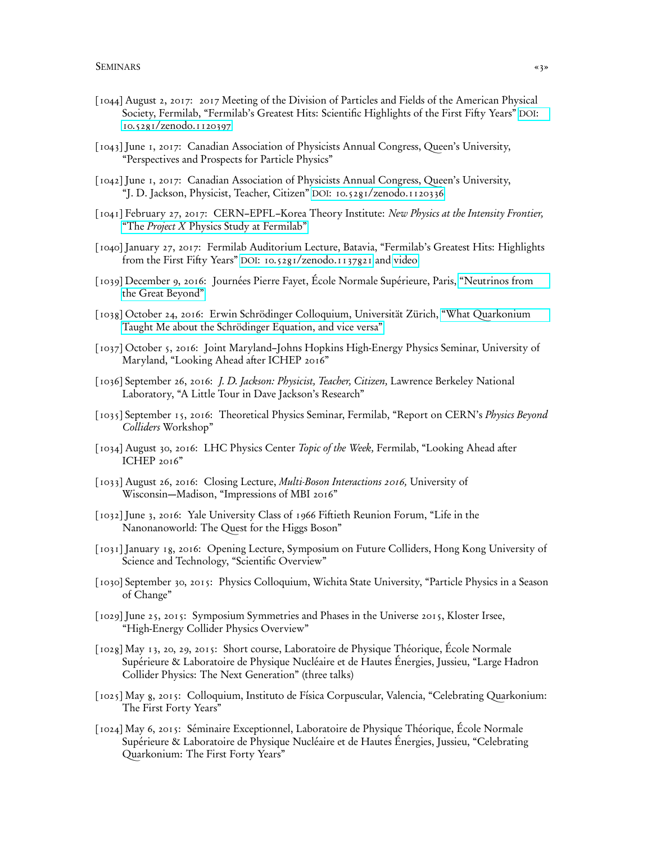- [1044] August 2, 2017: 2017 Meeting of the Division of Particles and Fields of the American Physical Society, Fermilab, "Fermilab's Greatest Hits: Scientific Highlights of the First Fifty Years" [DOI](https://dx.doi.org/10.5281/zenodo.1120397): [10.5281/zenodo.1120397](https://dx.doi.org/10.5281/zenodo.1120397)
- [1043] June 1, 2017: Canadian Association of Physicists Annual Congress, Queen's University, "Perspectives and Prospects for Particle Physics"
- [1042] June 1, 2017: Canadian Association of Physicists Annual Congress, Queen's University, "J. D. Jackson, Physicist, Teacher, Citizen" DOI[: 10.5281/zenodo.1120336](https://dx.doi.org/10.5281/zenodo.1120336)
- [1041] February 27, 2017: CERN–EPFL–Korea Theory Institute: New Physics at the Intensity Frontier, "The *Project X* [Physics Study at Fermilab"](https://indico.cern.ch/event/580599/contributions/2472715/attachments/1418851/2173366/PXPSsummaryr.pdf)
- [1040] January 27, 2017: Fermilab Auditorium Lecture, Batavia, "Fermilab's Greatest Hits: Highlights from the First Fifty Years" DOI[: 10.5281/zenodo.1137821](https://dx.doi.org/10.5281/zenodo.1137821) and [video](https://www.youtube.com/watch?v=uvorOfNkUa8&feature=youtu.be)
- [1039] December 9, 2016: Journées Pierre Fayet, École Normale Supérieure, Paris, ["Neutrinos from](http://moriond.in2p3.fr/Fayet/transparencies/quigg.pdf) [the Great Beyond"](http://moriond.in2p3.fr/Fayet/transparencies/quigg.pdf)
- [1038] October 24, 2016: Erwin Schrödinger Colloquium, Universität Zürich, ["What Quarkonium](http://lutece.fnal.gov/Talks/UZH-QMprint.pdf) [Taught Me about the Schrödinger Equation, and vice versa"](http://lutece.fnal.gov/Talks/UZH-QMprint.pdf)
- [1037] October 5, 2016: Joint Maryland–Johns Hopkins High-Energy Physics Seminar, University of Maryland, "Looking Ahead after ICHEP 2016"
- [1036] September 26, 2016: J. D. Jackson: Physicist, Teacher, Citizen, Lawrence Berkeley National Laboratory, "A Little Tour in Dave Jackson's Research"
- [1035] September 15, 2016: Theoretical Physics Seminar, Fermilab, "Report on CERN's *Physics Beyond* Colliders Workshop"
- [1034] August 30, 2016: LHC Physics Center Topic of the Week, Fermilab, "Looking Ahead after ICHEP 2016"
- [1033] August 26, 2016: Closing Lecture, *Multi-Boson Interactions 2016*, University of Wisconsin—Madison, "Impressions of MBI 2016"
- [1032] June 3, 2016: Yale University Class of 1966 Fiftieth Reunion Forum, "Life in the Nanonanoworld: The Quest for the Higgs Boson"
- [1031] January 18, 2016: Opening Lecture, Symposium on Future Colliders, Hong Kong University of Science and Technology, "Scientific Overview"
- [1030] September 30, 2015: Physics Colloquium, Wichita State University, "Particle Physics in a Season of Change"
- [1029] June 25, 2015: Symposium Symmetries and Phases in the Universe 2015, Kloster Irsee, "High-Energy Collider Physics Overview"
- [1028] May 13, 20, 29, 2015: Short course, Laboratoire de Physique Théorique, École Normale Supérieure & Laboratoire de Physique Nucléaire et de Hautes Énergies, Jussieu, "Large Hadron Collider Physics: The Next Generation" (three talks)
- [1025] May 8, 2015: Colloquium, Instituto de Física Corpuscular, Valencia, "Celebrating Quarkonium: The First Forty Years"
- [1024] May 6, 2015: Séminaire Exceptionnel, Laboratoire de Physique Théorique, École Normale Supérieure & Laboratoire de Physique Nucléaire et de Hautes Énergies, Jussieu, "Celebrating Quarkonium: The First Forty Years"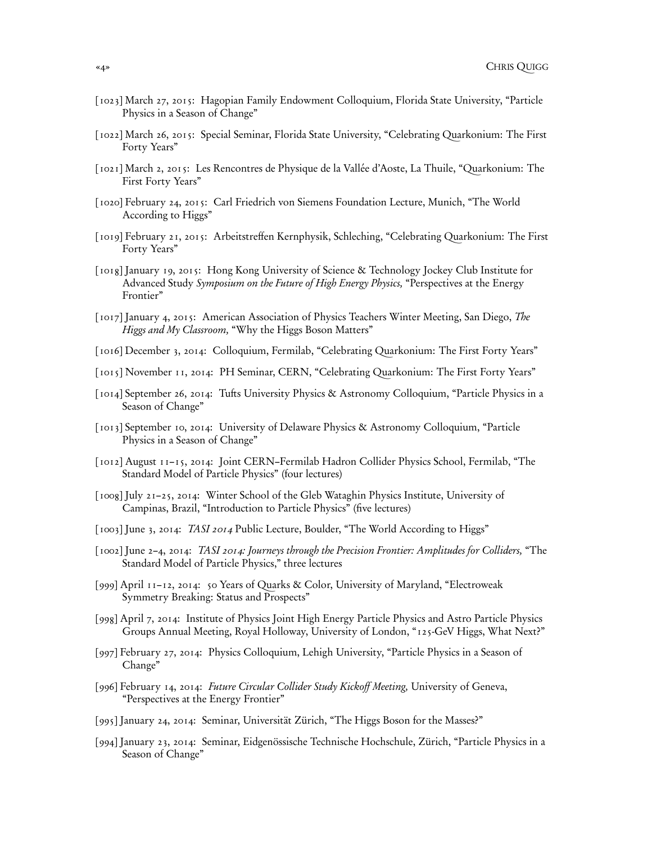- [1023] March 27, 2015: Hagopian Family Endowment Colloquium, Florida State University, "Particle Physics in a Season of Change"
- [1022] March 26, 2015: Special Seminar, Florida State University, "Celebrating Quarkonium: The First Forty Years"
- [1021] March 2, 2015: Les Rencontres de Physique de la Vallée d'Aoste, La Thuile, "Quarkonium: The First Forty Years"
- [1020] February 24, 2015: Carl Friedrich von Siemens Foundation Lecture, Munich, "The World According to Higgs"
- [1019] February 21, 2015: Arbeitstreffen Kernphysik, Schleching, "Celebrating Quarkonium: The First Forty Years"
- [1018] January 19, 2015: Hong Kong University of Science & Technology Jockey Club Institute for Advanced Study Symposium on the Future of High Energy Physics, "Perspectives at the Energy Frontier"
- [1017] January 4, 2015: American Association of Physics Teachers Winter Meeting, San Diego, The Higgs and My Classroom, "Why the Higgs Boson Matters"
- [1016] December 3, 2014: Colloquium, Fermilab, "Celebrating Quarkonium: The First Forty Years"
- [1015] November 11, 2014: PH Seminar, CERN, "Celebrating Quarkonium: The First Forty Years"
- [1014] September 26, 2014: Tufts University Physics & Astronomy Colloquium, "Particle Physics in a Season of Change"
- [1013] September 10, 2014: University of Delaware Physics & Astronomy Colloquium, "Particle Physics in a Season of Change"
- [1012] August 11–15, 2014: Joint CERN–Fermilab Hadron Collider Physics School, Fermilab, "The Standard Model of Particle Physics" (four lectures)
- [1008] July 21–25, 2014: Winter School of the Gleb Wataghin Physics Institute, University of Campinas, Brazil, "Introduction to Particle Physics" (five lectures)
- [1003] June 3, 2014: TASI 2014 Public Lecture, Boulder, "The World According to Higgs"
- [1002] June 2–4, 2014: TASI 2014: Journeys through the Precision Frontier: Amplitudes for Colliders, "The Standard Model of Particle Physics," three lectures
- [999] April 11–12, 2014: 50 Years of Quarks & Color, University of Maryland, "Electroweak Symmetry Breaking: Status and Prospects"
- [998] April 7, 2014: Institute of Physics Joint High Energy Particle Physics and Astro Particle Physics Groups Annual Meeting, Royal Holloway, University of London, "125-GeV Higgs, What Next?"
- [997] February 27, 2014: Physics Colloquium, Lehigh University, "Particle Physics in a Season of Change"
- [996] February 14, 2014: Future Circular Collider Study Kickoff Meeting, University of Geneva, "Perspectives at the Energy Frontier"
- [995] January 24, 2014: Seminar, Universität Zürich, "The Higgs Boson for the Masses?"
- [994] January 23, 2014: Seminar, Eidgenössische Technische Hochschule, Zürich, "Particle Physics in a Season of Change"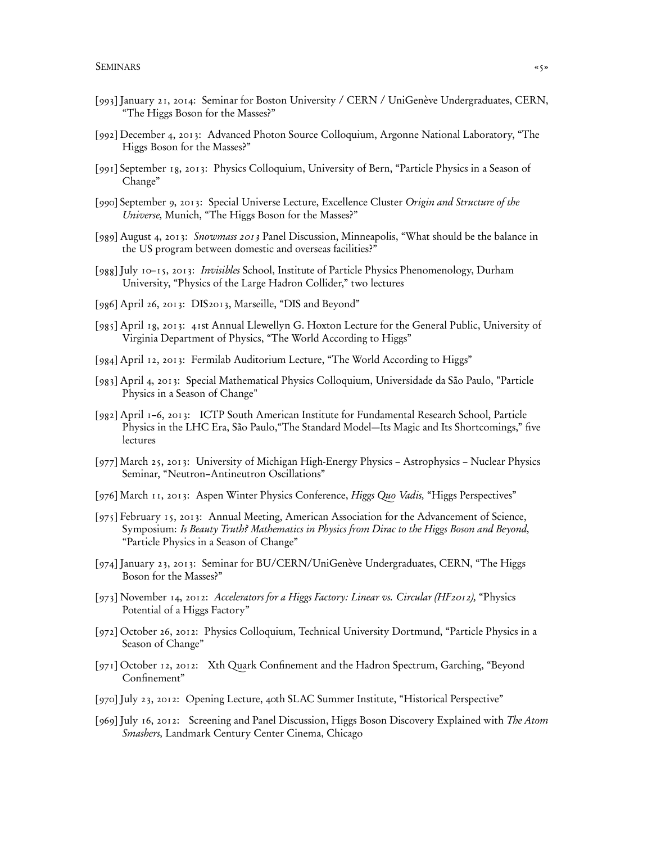- [993] January 21, 2014: Seminar for Boston University / CERN / UniGenève Undergraduates, CERN, "The Higgs Boson for the Masses?"
- [992] December 4, 2013: Advanced Photon Source Colloquium, Argonne National Laboratory, "The Higgs Boson for the Masses?"
- [991] September 18, 2013: Physics Colloquium, University of Bern, "Particle Physics in a Season of Change"
- [990] September 9, 2013: Special Universe Lecture, Excellence Cluster Origin and Structure of the Universe, Munich, "The Higgs Boson for the Masses?"
- [989] August 4, 2013: Snowmass 2013 Panel Discussion, Minneapolis, "What should be the balance in the US program between domestic and overseas facilities?"
- [988] July 10–15, 2013: Invisibles School, Institute of Particle Physics Phenomenology, Durham University, "Physics of the Large Hadron Collider," two lectures
- [986] April 26, 2013: DIS2013, Marseille, "DIS and Beyond"
- [985] April 18, 2013: 41st Annual Llewellyn G. Hoxton Lecture for the General Public, University of Virginia Department of Physics, "The World According to Higgs"
- [984] April 12, 2013: Fermilab Auditorium Lecture, "The World According to Higgs"
- [983] April 4, 2013: Special Mathematical Physics Colloquium, Universidade da São Paulo, "Particle Physics in a Season of Change"
- [982] April 1–6, 2013: ICTP South American Institute for Fundamental Research School, Particle Physics in the LHC Era, São Paulo,"The Standard Model—Its Magic and Its Shortcomings," five lectures
- [977] March 25, 2013: University of Michigan High-Energy Physics Astrophysics Nuclear Physics Seminar, "Neutron–Antineutron Oscillations"
- [976] March 11, 2013: Aspen Winter Physics Conference, Higgs Quo Vadis, "Higgs Perspectives"
- [975] February 15, 2013: Annual Meeting, American Association for the Advancement of Science, Symposium: Is Beauty Truth? Mathematics in Physics from Dirac to the Higgs Boson and Beyond, "Particle Physics in a Season of Change"
- [974] January 23, 2013: Seminar for BU/CERN/UniGenève Undergraduates, CERN, "The Higgs Boson for the Masses?"
- [973] November 14, 2012: Accelerators for a Higgs Factory: Linear vs. Circular (HF2012), "Physics Potential of a Higgs Factory"
- [972] October 26, 2012: Physics Colloquium, Technical University Dortmund, "Particle Physics in a Season of Change"
- [971] October 12, 2012: Xth Quark Confinement and the Hadron Spectrum, Garching, "Beyond Confinement"
- [970] July 23, 2012: Opening Lecture, 40th SLAC Summer Institute, "Historical Perspective"
- [969] July 16, 2012: Screening and Panel Discussion, Higgs Boson Discovery Explained with The Atom Smashers, Landmark Century Center Cinema, Chicago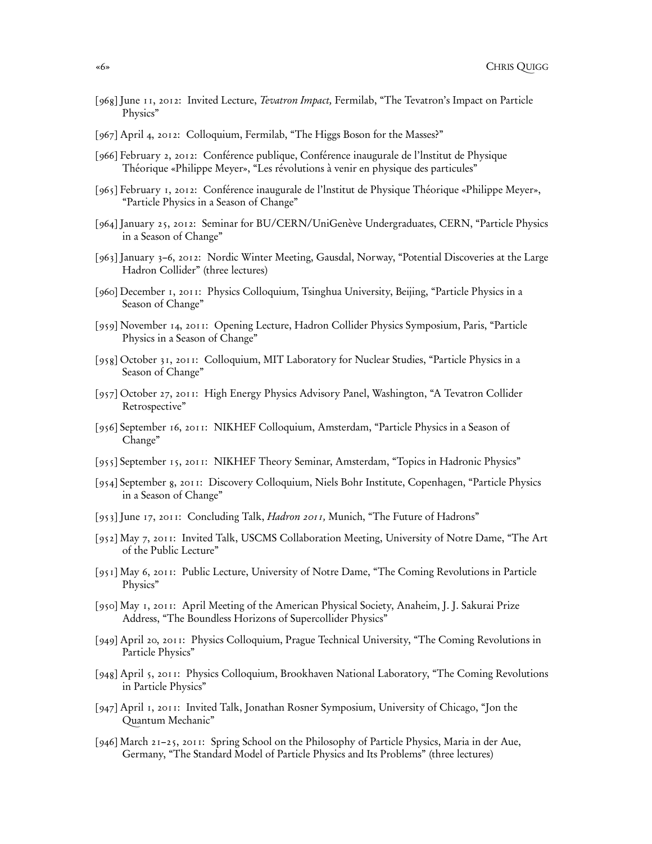- [968] June 11, 2012: Invited Lecture, Tevatron Impact, Fermilab, "The Tevatron's Impact on Particle Physics"
- [967] April 4, 2012: Colloquium, Fermilab, "The Higgs Boson for the Masses?"
- [966] February 2, 2012: Conférence publique, Conférence inaugurale de l'lnstitut de Physique Théorique «Philippe Meyer», "Les révolutions à venir en physique des particules"
- [965] February 1, 2012: Conférence inaugurale de l'lnstitut de Physique Théorique «Philippe Meyer», "Particle Physics in a Season of Change"
- [964] January 25, 2012: Seminar for BU/CERN/UniGenève Undergraduates, CERN, "Particle Physics in a Season of Change"
- [963] January 3–6, 2012: Nordic Winter Meeting, Gausdal, Norway, "Potential Discoveries at the Large Hadron Collider" (three lectures)
- [960] December 1, 2011: Physics Colloquium, Tsinghua University, Beijing, "Particle Physics in a Season of Change"
- [959] November 14, 2011: Opening Lecture, Hadron Collider Physics Symposium, Paris, "Particle Physics in a Season of Change"
- [958] October 31, 2011: Colloquium, MIT Laboratory for Nuclear Studies, "Particle Physics in a Season of Change"
- [957] October 27, 2011: High Energy Physics Advisory Panel, Washington, "A Tevatron Collider Retrospective"
- [956] September 16, 2011: NIKHEF Colloquium, Amsterdam, "Particle Physics in a Season of Change"
- [955] September 15, 2011: NIKHEF Theory Seminar, Amsterdam, "Topics in Hadronic Physics"
- [954] September 8, 2011: Discovery Colloquium, Niels Bohr Institute, Copenhagen, "Particle Physics in a Season of Change"
- [953] June 17, 2011: Concluding Talk, Hadron 2011, Munich, "The Future of Hadrons"
- [952] May 7, 2011: Invited Talk, USCMS Collaboration Meeting, University of Notre Dame, "The Art of the Public Lecture"
- [951] May 6, 2011: Public Lecture, University of Notre Dame, "The Coming Revolutions in Particle Physics"
- [950] May 1, 2011: April Meeting of the American Physical Society, Anaheim, J. J. Sakurai Prize Address, "The Boundless Horizons of Supercollider Physics"
- [949] April 20, 2011: Physics Colloquium, Prague Technical University, "The Coming Revolutions in Particle Physics"
- [948] April 5, 2011: Physics Colloquium, Brookhaven National Laboratory, "The Coming Revolutions in Particle Physics"
- [947] April 1, 2011: Invited Talk, Jonathan Rosner Symposium, University of Chicago, "Jon the Quantum Mechanic"
- [946] March 21–25, 2011: Spring School on the Philosophy of Particle Physics, Maria in der Aue, Germany, "The Standard Model of Particle Physics and Its Problems" (three lectures)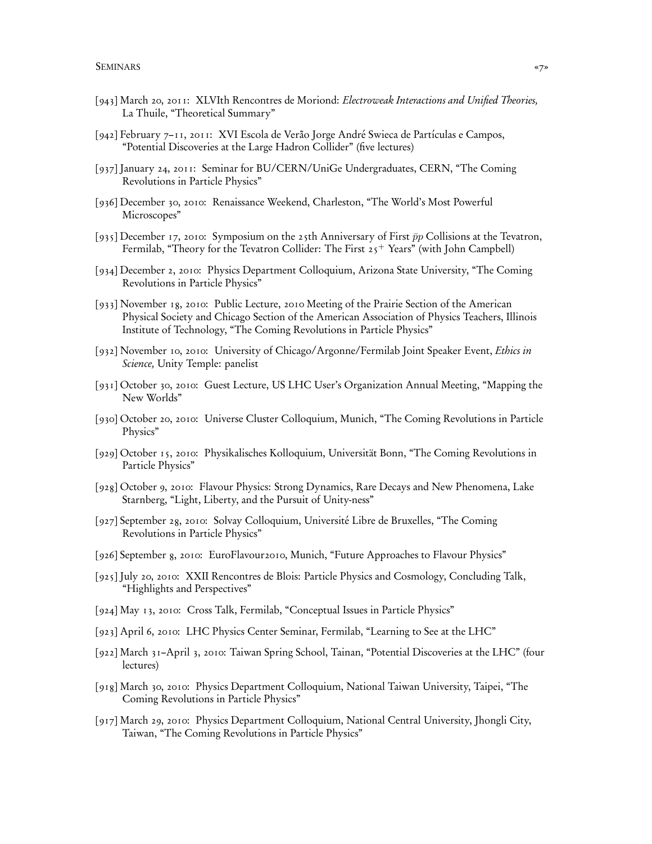- [943] March 20, 2011: XLVIth Rencontres de Moriond: Electroweak Interactions and Unified Theories, La Thuile, "Theoretical Summary"
- [942] February 7–11, 2011: XVI Escola de Verão Jorge André Swieca de Partículas e Campos, "Potential Discoveries at the Large Hadron Collider" (five lectures)
- [937] January 24, 2011: Seminar for BU/CERN/UniGe Undergraduates, CERN, "The Coming Revolutions in Particle Physics"
- [936] December 30, 2010: Renaissance Weekend, Charleston, "The World's Most Powerful Microscopes"
- [935] December 17, 2010: Symposium on the 25th Anniversary of First  $\bar{p}p$  Collisions at the Tevatron, Fermilab, "Theory for the Tevatron Collider: The First  $25<sup>+</sup>$  Years" (with John Campbell)
- [934] December 2, 2010: Physics Department Colloquium, Arizona State University, "The Coming Revolutions in Particle Physics"
- [933] November 18, 2010: Public Lecture, 2010 Meeting of the Prairie Section of the American Physical Society and Chicago Section of the American Association of Physics Teachers, Illinois Institute of Technology, "The Coming Revolutions in Particle Physics"
- [932] November 10, 2010: University of Chicago/Argonne/Fermilab Joint Speaker Event, Ethics in Science, Unity Temple: panelist
- [931] October 30, 2010: Guest Lecture, US LHC User's Organization Annual Meeting, "Mapping the New Worlds"
- [930] October 20, 2010: Universe Cluster Colloquium, Munich, "The Coming Revolutions in Particle Physics"
- [929] October 15, 2010: Physikalisches Kolloquium, Universität Bonn, "The Coming Revolutions in Particle Physics"
- [928] October 9, 2010: Flavour Physics: Strong Dynamics, Rare Decays and New Phenomena, Lake Starnberg, "Light, Liberty, and the Pursuit of Unity-ness"
- [927] September 28, 2010: Solvay Colloquium, Université Libre de Bruxelles, "The Coming Revolutions in Particle Physics"
- [926] September 8, 2010: EuroFlavour2010, Munich, "Future Approaches to Flavour Physics"
- [925] July 20, 2010: XXII Rencontres de Blois: Particle Physics and Cosmology, Concluding Talk, "Highlights and Perspectives"
- [924] May 13, 2010: Cross Talk, Fermilab, "Conceptual Issues in Particle Physics"
- [923] April 6, 2010: LHC Physics Center Seminar, Fermilab, "Learning to See at the LHC"
- [922] March 31–April 3, 2010: Taiwan Spring School, Tainan, "Potential Discoveries at the LHC" (four lectures)
- [918] March 30, 2010: Physics Department Colloquium, National Taiwan University, Taipei, "The Coming Revolutions in Particle Physics"
- [917] March 29, 2010: Physics Department Colloquium, National Central University, Jhongli City, Taiwan, "The Coming Revolutions in Particle Physics"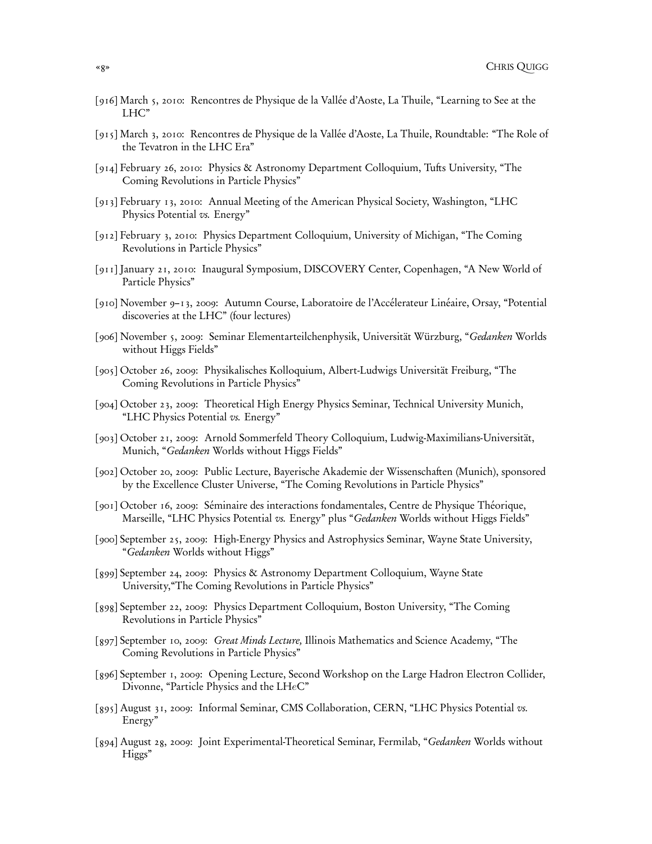- [916] March 5, 2010: Rencontres de Physique de la Vallée d'Aoste, La Thuile, "Learning to See at the LHC"
- [915] March 3, 2010: Rencontres de Physique de la Vallée d'Aoste, La Thuile, Roundtable: "The Role of the Tevatron in the LHC Era"
- [914] February 26, 2010: Physics & Astronomy Department Colloquium, Tufts University, "The Coming Revolutions in Particle Physics"
- [913] February 13, 2010: Annual Meeting of the American Physical Society, Washington, "LHC Physics Potential vs. Energy"
- [912] February 3, 2010: Physics Department Colloquium, University of Michigan, "The Coming Revolutions in Particle Physics"
- [911] January 21, 2010: Inaugural Symposium, DISCOVERY Center, Copenhagen, "A New World of Particle Physics"
- [910] November 9–13, 2009: Autumn Course, Laboratoire de l'Accélerateur Linéaire, Orsay, "Potential discoveries at the LHC" (four lectures)
- [906] November 5, 2009: Seminar Elementarteilchenphysik, Universität Würzburg, "Gedanken Worlds without Higgs Fields"
- [905] October 26, 2009: Physikalisches Kolloquium, Albert-Ludwigs Universität Freiburg, "The Coming Revolutions in Particle Physics"
- [904] October 23, 2009: Theoretical High Energy Physics Seminar, Technical University Munich, "LHC Physics Potential vs. Energy"
- [903] October 21, 2009: Arnold Sommerfeld Theory Colloquium, Ludwig-Maximilians-Universität, Munich, "Gedanken Worlds without Higgs Fields"
- [902] October 20, 2009: Public Lecture, Bayerische Akademie der Wissenschaften (Munich), sponsored by the Excellence Cluster Universe, "The Coming Revolutions in Particle Physics"
- [901] October 16, 2009: Séminaire des interactions fondamentales, Centre de Physique Théorique, Marseille, "LHC Physics Potential vs. Energy" plus "Gedanken Worlds without Higgs Fields"
- [900] September 25, 2009: High-Energy Physics and Astrophysics Seminar, Wayne State University, "Gedanken Worlds without Higgs"
- [899] September 24, 2009: Physics & Astronomy Department Colloquium, Wayne State University,"The Coming Revolutions in Particle Physics"
- [898] September 22, 2009: Physics Department Colloquium, Boston University, "The Coming Revolutions in Particle Physics"
- [897] September 10, 2009: Great Minds Lecture, Illinois Mathematics and Science Academy, "The Coming Revolutions in Particle Physics"
- [896] September 1, 2009: Opening Lecture, Second Workshop on the Large Hadron Electron Collider, Divonne, "Particle Physics and the LHeC"
- [895] August 31, 2009: Informal Seminar, CMS Collaboration, CERN, "LHC Physics Potential vs. Energy"
- [894] August 28, 2009: Joint Experimental-Theoretical Seminar, Fermilab, "Gedanken Worlds without Higgs"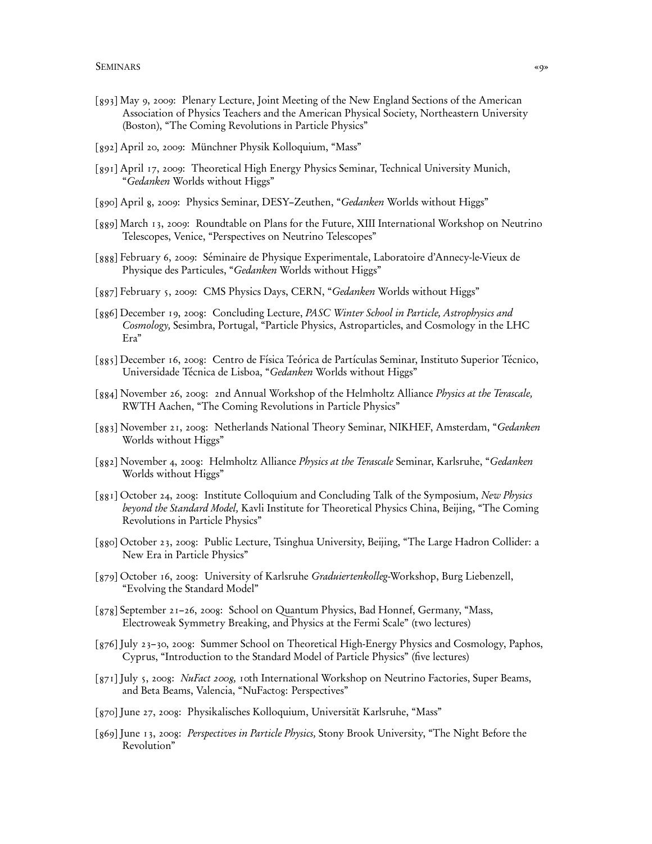- [893] May 9, 2009: Plenary Lecture, Joint Meeting of the New England Sections of the American Association of Physics Teachers and the American Physical Society, Northeastern University (Boston), "The Coming Revolutions in Particle Physics"
- [892] April 20, 2009: Münchner Physik Kolloquium, "Mass"
- [891] April 17, 2009: Theoretical High Energy Physics Seminar, Technical University Munich, "Gedanken Worlds without Higgs"
- [890] April 8, 2009: Physics Seminar, DESY–Zeuthen, "Gedanken Worlds without Higgs"
- [889] March 13, 2009: Roundtable on Plans for the Future, XIII International Workshop on Neutrino Telescopes, Venice, "Perspectives on Neutrino Telescopes"
- [888] February 6, 2009: Séminaire de Physique Experimentale, Laboratoire d'Annecy-le-Vieux de Physique des Particules, "Gedanken Worlds without Higgs"
- [887] February 5, 2009: CMS Physics Days, CERN, "Gedanken Worlds without Higgs"
- [886] December 19, 2008: Concluding Lecture, PASC Winter School in Particle, Astrophysics and Cosmology, Sesimbra, Portugal, "Particle Physics, Astroparticles, and Cosmology in the LHC Era"
- [885] December 16, 2008: Centro de Física Teórica de Partículas Seminar, Instituto Superior Técnico, Universidade Técnica de Lisboa, "Gedanken Worlds without Higgs"
- [884] November 26, 2008: 2nd Annual Workshop of the Helmholtz Alliance Physics at the Terascale, RWTH Aachen, "The Coming Revolutions in Particle Physics"
- [883] November 21, 2008: Netherlands National Theory Seminar, NIKHEF, Amsterdam, "Gedanken Worlds without Higgs"
- [882] November 4, 2008: Helmholtz Alliance Physics at the Terascale Seminar, Karlsruhe, "Gedanken Worlds without Higgs"
- [881] October 24, 2008: Institute Colloquium and Concluding Talk of the Symposium, New Physics beyond the Standard Model, Kavli Institute for Theoretical Physics China, Beijing, "The Coming Revolutions in Particle Physics"
- [880] October 23, 2008: Public Lecture, Tsinghua University, Beijing, "The Large Hadron Collider: a New Era in Particle Physics"
- [879] October 16, 2008: University of Karlsruhe Graduiertenkolleg-Workshop, Burg Liebenzell, "Evolving the Standard Model"
- [878] September 21–26, 2008: School on Quantum Physics, Bad Honnef, Germany, "Mass, Electroweak Symmetry Breaking, and Physics at the Fermi Scale" (two lectures)
- [876] July 23–30, 2008: Summer School on Theoretical High-Energy Physics and Cosmology, Paphos, Cyprus, "Introduction to the Standard Model of Particle Physics" (five lectures)
- [871] July 5, 2008: *NuFact 2008*, 10th International Workshop on Neutrino Factories, Super Beams, and Beta Beams, Valencia, "NuFactog: Perspectives"
- [870] June 27, 2008: Physikalisches Kolloquium, Universität Karlsruhe, "Mass"
- [869] June 13, 2008: Perspectives in Particle Physics, Stony Brook University, "The Night Before the Revolution"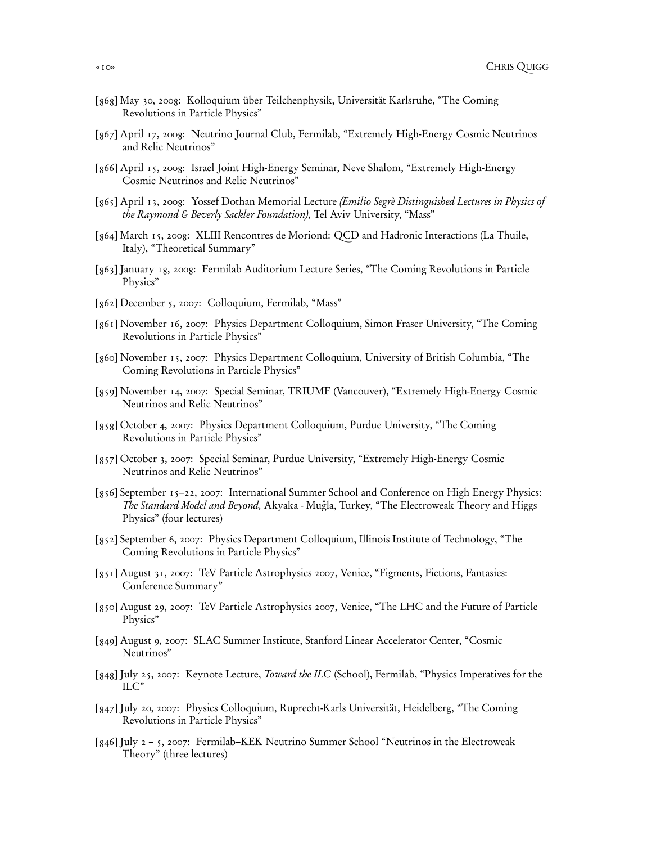- [868] May 30, 2008: Kolloquium über Teilchenphysik, Universität Karlsruhe, "The Coming Revolutions in Particle Physics"
- [867] April 17, 2008: Neutrino Journal Club, Fermilab, "Extremely High-Energy Cosmic Neutrinos and Relic Neutrinos"
- [866] April 15, 2008: Israel Joint High-Energy Seminar, Neve Shalom, "Extremely High-Energy Cosmic Neutrinos and Relic Neutrinos"
- [865] April 13, 2008: Yossef Dothan Memorial Lecture (Emilio Segrè Distinguished Lectures in Physics of the Raymond & Beverly Sackler Foundation), Tel Aviv University, "Mass"
- [864] March 15, 2008: XLIII Rencontres de Moriond: QCD and Hadronic Interactions (La Thuile, Italy), "Theoretical Summary"
- [863] January 18, 2008: Fermilab Auditorium Lecture Series, "The Coming Revolutions in Particle Physics"
- [862] December 5, 2007: Colloquium, Fermilab, "Mass"
- [861] November 16, 2007: Physics Department Colloquium, Simon Fraser University, "The Coming Revolutions in Particle Physics"
- [860] November 15, 2007: Physics Department Colloquium, University of British Columbia, "The Coming Revolutions in Particle Physics"
- [859] November 14, 2007: Special Seminar, TRIUMF (Vancouver), "Extremely High-Energy Cosmic Neutrinos and Relic Neutrinos"
- [858] October 4, 2007: Physics Department Colloquium, Purdue University, "The Coming Revolutions in Particle Physics"
- [857] October 3, 2007: Special Seminar, Purdue University, "Extremely High-Energy Cosmic Neutrinos and Relic Neutrinos"
- [856] September 15–22, 2007: International Summer School and Conference on High Energy Physics: The Standard Model and Beyond, Akyaka - Muğla, Turkey, "The Electroweak Theory and Higgs Physics" (four lectures)
- [852] September 6, 2007: Physics Department Colloquium, Illinois Institute of Technology, "The Coming Revolutions in Particle Physics"
- [851] August 31, 2007: TeV Particle Astrophysics 2007, Venice, "Figments, Fictions, Fantasies: Conference Summary"
- [850] August 29, 2007: TeV Particle Astrophysics 2007, Venice, "The LHC and the Future of Particle Physics"
- [849] August 9, 2007: SLAC Summer Institute, Stanford Linear Accelerator Center, "Cosmic Neutrinos"
- [848] July 25, 2007: Keynote Lecture, *Toward the ILC* (School), Fermilab, "Physics Imperatives for the ILC"
- [847] July 20, 2007: Physics Colloquium, Ruprecht-Karls Universität, Heidelberg, "The Coming Revolutions in Particle Physics"
- [846] July 2 5, 2007: Fermilab–KEK Neutrino Summer School "Neutrinos in the Electroweak Theory" (three lectures)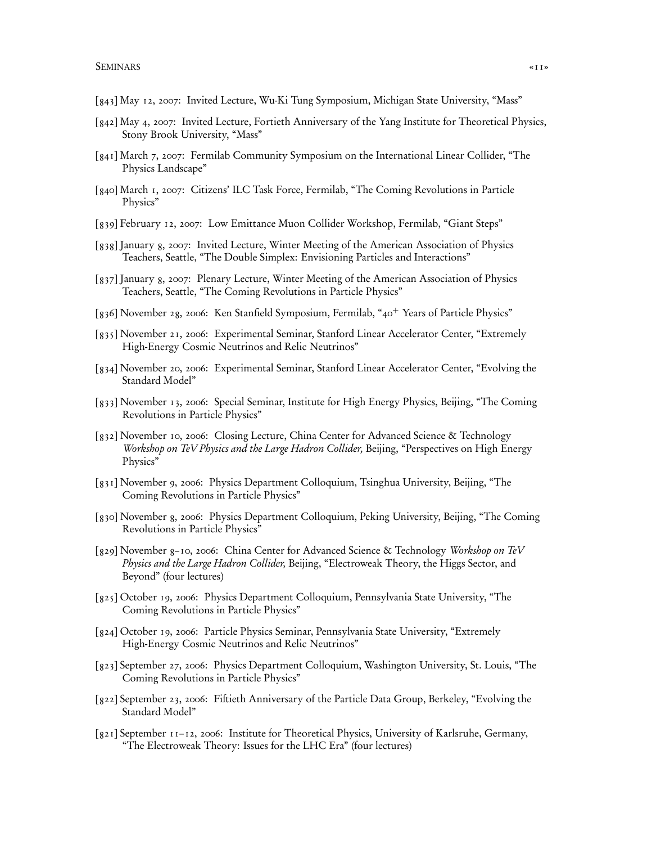- [843] May 12, 2007: Invited Lecture, Wu-Ki Tung Symposium, Michigan State University, "Mass"
- [842] May 4, 2007: Invited Lecture, Fortieth Anniversary of the Yang Institute for Theoretical Physics, Stony Brook University, "Mass"
- [841] March 7, 2007: Fermilab Community Symposium on the International Linear Collider, "The Physics Landscape"
- [840] March 1, 2007: Citizens' ILC Task Force, Fermilab, "The Coming Revolutions in Particle Physics"
- [839] February 12, 2007: Low Emittance Muon Collider Workshop, Fermilab, "Giant Steps"
- [838] January 8, 2007: Invited Lecture, Winter Meeting of the American Association of Physics Teachers, Seattle, "The Double Simplex: Envisioning Particles and Interactions"
- [837] January 8, 2007: Plenary Lecture, Winter Meeting of the American Association of Physics Teachers, Seattle, "The Coming Revolutions in Particle Physics"
- [836] November 28, 2006: Ken Stanfield Symposium, Fermilab, "40<sup>+</sup> Years of Particle Physics"
- [835] November 21, 2006: Experimental Seminar, Stanford Linear Accelerator Center, "Extremely High-Energy Cosmic Neutrinos and Relic Neutrinos"
- [834] November 20, 2006: Experimental Seminar, Stanford Linear Accelerator Center, "Evolving the Standard Model"
- [833] November 13, 2006: Special Seminar, Institute for High Energy Physics, Beijing, "The Coming Revolutions in Particle Physics"
- [832] November 10, 2006: Closing Lecture, China Center for Advanced Science & Technology Workshop on TeV Physics and the Large Hadron Collider, Beijing, "Perspectives on High Energy Physics"
- [831] November 9, 2006: Physics Department Colloquium, Tsinghua University, Beijing, "The Coming Revolutions in Particle Physics"
- [830] November 8, 2006: Physics Department Colloquium, Peking University, Beijing, "The Coming Revolutions in Particle Physics"
- [829] November 8–10, 2006: China Center for Advanced Science & Technology Workshop on TeV Physics and the Large Hadron Collider, Beijing, "Electroweak Theory, the Higgs Sector, and Beyond" (four lectures)
- [825] October 19, 2006: Physics Department Colloquium, Pennsylvania State University, "The Coming Revolutions in Particle Physics"
- [824] October 19, 2006: Particle Physics Seminar, Pennsylvania State University, "Extremely High-Energy Cosmic Neutrinos and Relic Neutrinos"
- [823] September 27, 2006: Physics Department Colloquium, Washington University, St. Louis, "The Coming Revolutions in Particle Physics"
- [822] September 23, 2006: Fiftieth Anniversary of the Particle Data Group, Berkeley, "Evolving the Standard Model"
- [821] September 11–12, 2006: Institute for Theoretical Physics, University of Karlsruhe, Germany, "The Electroweak Theory: Issues for the LHC Era" (four lectures)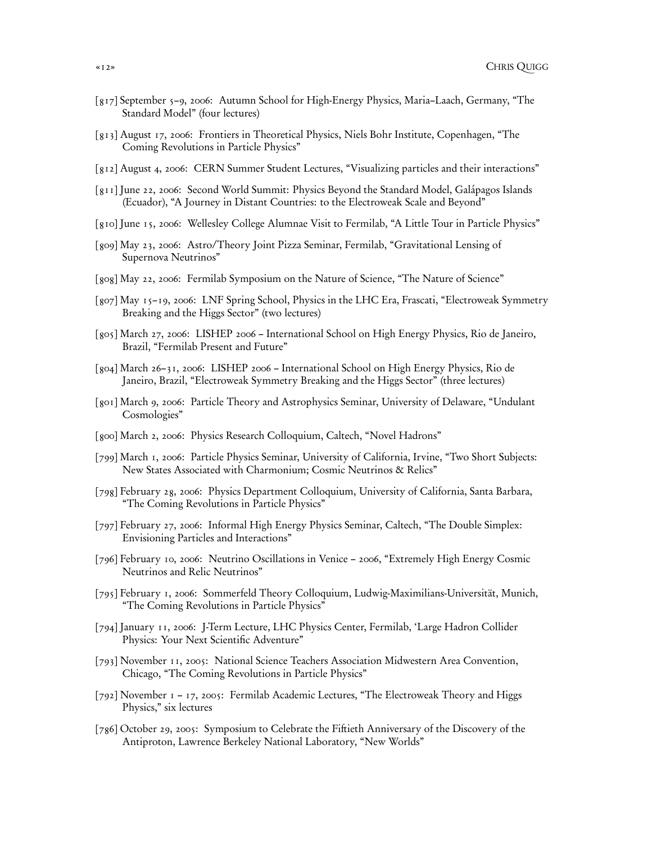- [817] September 5–9, 2006: Autumn School for High-Energy Physics, Maria–Laach, Germany, "The Standard Model" (four lectures)
- [813] August 17, 2006: Frontiers in Theoretical Physics, Niels Bohr Institute, Copenhagen, "The Coming Revolutions in Particle Physics"
- [812] August 4, 2006: CERN Summer Student Lectures, "Visualizing particles and their interactions"
- [811] June 22, 2006: Second World Summit: Physics Beyond the Standard Model, Galápagos Islands (Ecuador), "A Journey in Distant Countries: to the Electroweak Scale and Beyond"
- [810] June 15, 2006: Wellesley College Alumnae Visit to Fermilab, "A Little Tour in Particle Physics"
- [809] May 23, 2006: Astro/Theory Joint Pizza Seminar, Fermilab, "Gravitational Lensing of Supernova Neutrinos"
- [808] May 22, 2006: Fermilab Symposium on the Nature of Science, "The Nature of Science"
- [807] May 15–19, 2006: LNF Spring School, Physics in the LHC Era, Frascati, "Electroweak Symmetry Breaking and the Higgs Sector" (two lectures)
- [805] March 27, 2006: LISHEP 2006 International School on High Energy Physics, Rio de Janeiro, Brazil, "Fermilab Present and Future"
- [804] March 26–31, 2006: LISHEP 2006 International School on High Energy Physics, Rio de Janeiro, Brazil, "Electroweak Symmetry Breaking and the Higgs Sector" (three lectures)
- [801] March 9, 2006: Particle Theory and Astrophysics Seminar, University of Delaware, "Undulant Cosmologies"
- [800] March 2, 2006: Physics Research Colloquium, Caltech, "Novel Hadrons"
- [799] March 1, 2006: Particle Physics Seminar, University of California, Irvine, "Two Short Subjects: New States Associated with Charmonium; Cosmic Neutrinos & Relics"
- [798] February 28, 2006: Physics Department Colloquium, University of California, Santa Barbara, "The Coming Revolutions in Particle Physics"
- [797] February 27, 2006: Informal High Energy Physics Seminar, Caltech, "The Double Simplex: Envisioning Particles and Interactions"
- [796] February 10, 2006: Neutrino Oscillations in Venice 2006, "Extremely High Energy Cosmic Neutrinos and Relic Neutrinos"
- [795] February 1, 2006: Sommerfeld Theory Colloquium, Ludwig-Maximilians-Universität, Munich, "The Coming Revolutions in Particle Physics"
- [794] January 11, 2006: J-Term Lecture, LHC Physics Center, Fermilab, 'Large Hadron Collider Physics: Your Next Scientific Adventure"
- [793] November 11, 2005: National Science Teachers Association Midwestern Area Convention, Chicago, "The Coming Revolutions in Particle Physics"
- [792] November 1 17, 2005: Fermilab Academic Lectures, "The Electroweak Theory and Higgs Physics," six lectures
- [786] October 29, 2005: Symposium to Celebrate the Fiftieth Anniversary of the Discovery of the Antiproton, Lawrence Berkeley National Laboratory, "New Worlds"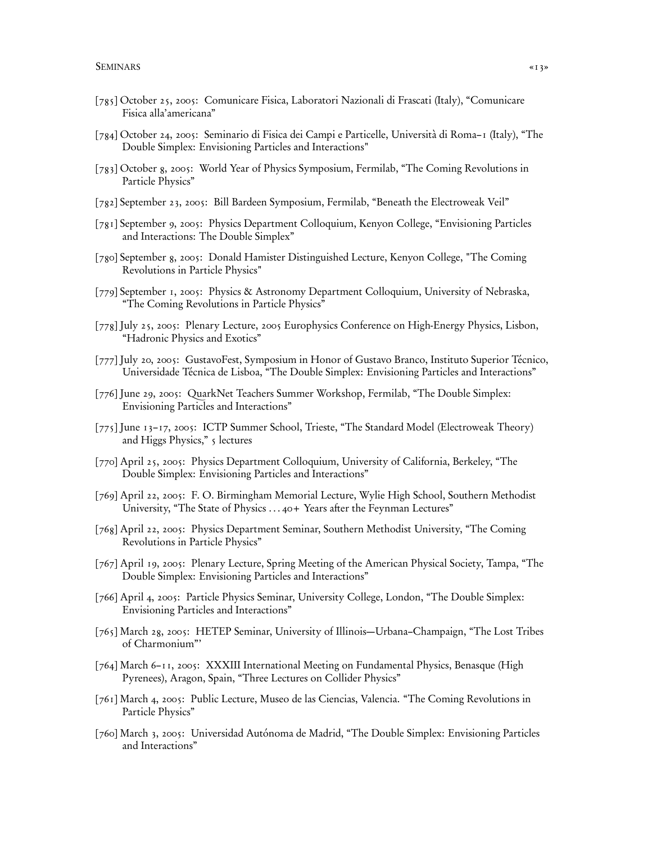- [785] October 25, 2005: Comunicare Fisica, Laboratori Nazionali di Frascati (Italy), "Comunicare Fisica alla'americana"
- [784] October 24, 2005: Seminario di Fisica dei Campi e Particelle, Università di Roma–1 (Italy), "The Double Simplex: Envisioning Particles and Interactions"
- [783] October 8, 2005: World Year of Physics Symposium, Fermilab, "The Coming Revolutions in Particle Physics"
- [782] September 23, 2005: Bill Bardeen Symposium, Fermilab, "Beneath the Electroweak Veil"
- [781] September 9, 2005: Physics Department Colloquium, Kenyon College, "Envisioning Particles and Interactions: The Double Simplex"
- [780] September 8, 2005: Donald Hamister Distinguished Lecture, Kenyon College, "The Coming Revolutions in Particle Physics"
- [779] September 1, 2005: Physics & Astronomy Department Colloquium, University of Nebraska, "The Coming Revolutions in Particle Physics"
- [778] July 25, 2005: Plenary Lecture, 2005 Europhysics Conference on High-Energy Physics, Lisbon, "Hadronic Physics and Exotics"
- [777] July 20, 2005: GustavoFest, Symposium in Honor of Gustavo Branco, Instituto Superior Técnico, Universidade Técnica de Lisboa, "The Double Simplex: Envisioning Particles and Interactions"
- [776] June 29, 2005: QuarkNet Teachers Summer Workshop, Fermilab, "The Double Simplex: Envisioning Particles and Interactions"
- [775] June 13–17, 2005: ICTP Summer School, Trieste, "The Standard Model (Electroweak Theory) and Higgs Physics," 5 lectures
- [770] April 25, 2005: Physics Department Colloquium, University of California, Berkeley, "The Double Simplex: Envisioning Particles and Interactions"
- [769] April 22, 2005: F. O. Birmingham Memorial Lecture, Wylie High School, Southern Methodist University, "The State of Physics . . . 40+ Years after the Feynman Lectures"
- [768] April 22, 2005: Physics Department Seminar, Southern Methodist University, "The Coming Revolutions in Particle Physics"
- [767] April 19, 2005: Plenary Lecture, Spring Meeting of the American Physical Society, Tampa, "The Double Simplex: Envisioning Particles and Interactions"
- [766] April 4, 2005: Particle Physics Seminar, University College, London, "The Double Simplex: Envisioning Particles and Interactions"
- [765] March 28, 2005: HETEP Seminar, University of Illinois—Urbana–Champaign, "The Lost Tribes of Charmonium"'
- [764] March 6–11, 2005: XXXIII International Meeting on Fundamental Physics, Benasque (High Pyrenees), Aragon, Spain, "Three Lectures on Collider Physics"
- [761] March 4, 2005: Public Lecture, Museo de las Ciencias, Valencia. "The Coming Revolutions in Particle Physics"
- [760] March 3, 2005: Universidad Autónoma de Madrid, "The Double Simplex: Envisioning Particles and Interactions"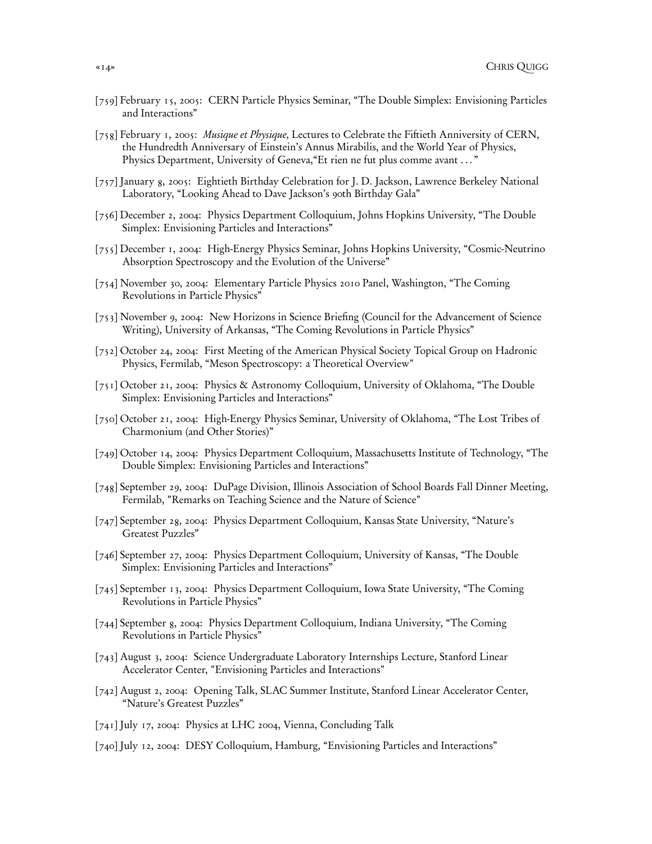- [759] February 15, 2005: CERN Particle Physics Seminar, "The Double Simplex: Envisioning Particles and Interactions"
- [758] February 1, 2005: Musique et Physique, Lectures to Celebrate the Fiftieth Anniversity of CERN, the Hundredth Anniversary of Einstein's Annus Mirabilis, and the World Year of Physics, Physics Department, University of Geneva,"Et rien ne fut plus comme avant . . . "
- [757] January 8, 2005: Eightieth Birthday Celebration for J. D. Jackson, Lawrence Berkeley National Laboratory, "Looking Ahead to Dave Jackson's 90th Birthday Gala"
- [756] December 2, 2004: Physics Department Colloquium, Johns Hopkins University, "The Double Simplex: Envisioning Particles and Interactions"
- [755] December 1, 2004: High-Energy Physics Seminar, Johns Hopkins University, "Cosmic-Neutrino Absorption Spectroscopy and the Evolution of the Universe"
- [754] November 30, 2004: Elementary Particle Physics 2010 Panel, Washington, "The Coming Revolutions in Particle Physics"
- [753] November 9, 2004: New Horizons in Science Briefing (Council for the Advancement of Science Writing), University of Arkansas, "The Coming Revolutions in Particle Physics"
- [752] October 24, 2004: First Meeting of the American Physical Society Topical Group on Hadronic Physics, Fermilab, "Meson Spectroscopy: a Theoretical Overview"
- [751] October 21, 2004: Physics & Astronomy Colloquium, University of Oklahoma, "The Double Simplex: Envisioning Particles and Interactions"
- [750] October 21, 2004: High-Energy Physics Seminar, University of Oklahoma, "The Lost Tribes of Charmonium (and Other Stories)"
- [749] October 14, 2004: Physics Department Colloquium, Massachusetts Institute of Technology, "The Double Simplex: Envisioning Particles and Interactions"
- [748] September 29, 2004: DuPage Division, Illinois Association of School Boards Fall Dinner Meeting, Fermilab, "Remarks on Teaching Science and the Nature of Science"
- [747] September 28, 2004: Physics Department Colloquium, Kansas State University, "Nature's Greatest Puzzles"
- [746] September 27, 2004: Physics Department Colloquium, University of Kansas, "The Double Simplex: Envisioning Particles and Interactions"
- [745] September 13, 2004: Physics Department Colloquium, Iowa State University, "The Coming Revolutions in Particle Physics"
- [744] September 8, 2004: Physics Department Colloquium, Indiana University, "The Coming Revolutions in Particle Physics"
- [743] August 3, 2004: Science Undergraduate Laboratory Internships Lecture, Stanford Linear Accelerator Center, "Envisioning Particles and Interactions"
- [742] August 2, 2004: Opening Talk, SLAC Summer Institute, Stanford Linear Accelerator Center, "Nature's Greatest Puzzles"
- [741] July 17, 2004: Physics at LHC 2004, Vienna, Concluding Talk
- [740] July 12, 2004: DESY Colloquium, Hamburg, "Envisioning Particles and Interactions"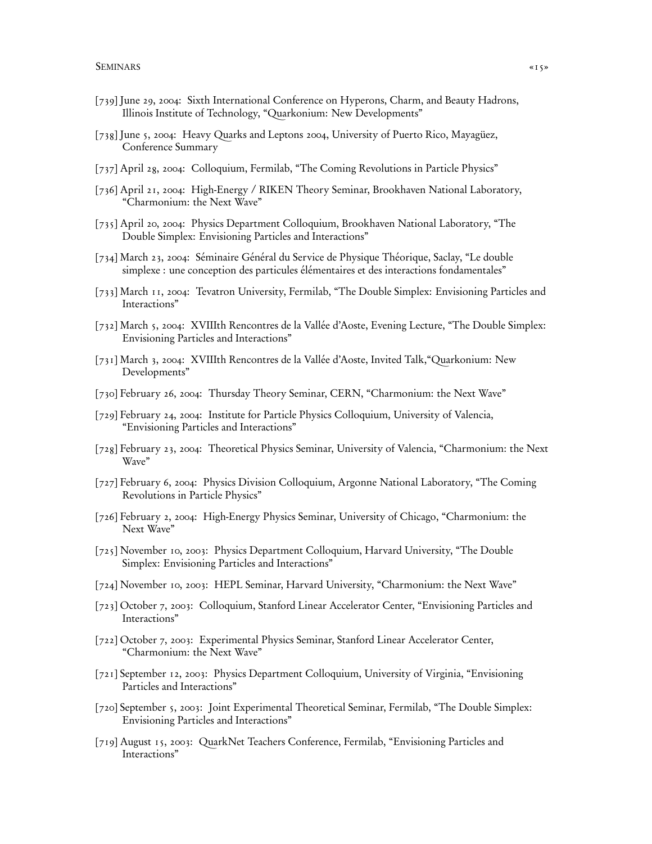- [739] June 29, 2004: Sixth International Conference on Hyperons, Charm, and Beauty Hadrons, Illinois Institute of Technology, "Quarkonium: New Developments"
- [738] June 5, 2004: Heavy Quarks and Leptons 2004, University of Puerto Rico, Mayagüez, Conference Summary
- [737] April 28, 2004: Colloquium, Fermilab, "The Coming Revolutions in Particle Physics"
- [736] April 21, 2004: High-Energy / RIKEN Theory Seminar, Brookhaven National Laboratory, "Charmonium: the Next Wave"
- [735] April 20, 2004: Physics Department Colloquium, Brookhaven National Laboratory, "The Double Simplex: Envisioning Particles and Interactions"
- [734] March 23, 2004: Séminaire Général du Service de Physique Théorique, Saclay, "Le double simplexe : une conception des particules élémentaires et des interactions fondamentales"
- [733] March 11, 2004: Tevatron University, Fermilab, "The Double Simplex: Envisioning Particles and Interactions"
- [732] March 5, 2004: XVIIIth Rencontres de la Vallée d'Aoste, Evening Lecture, "The Double Simplex: Envisioning Particles and Interactions"
- [731] March 3, 2004: XVIIIth Rencontres de la Vallée d'Aoste, Invited Talk,"Quarkonium: New Developments"
- [730] February 26, 2004: Thursday Theory Seminar, CERN, "Charmonium: the Next Wave"
- [729] February 24, 2004: Institute for Particle Physics Colloquium, University of Valencia, "Envisioning Particles and Interactions"
- [728] February 23, 2004: Theoretical Physics Seminar, University of Valencia, "Charmonium: the Next Wave"
- [727] February 6, 2004: Physics Division Colloquium, Argonne National Laboratory, "The Coming Revolutions in Particle Physics"
- [726] February 2, 2004: High-Energy Physics Seminar, University of Chicago, "Charmonium: the Next Wave"
- [725] November 10, 2003: Physics Department Colloquium, Harvard University, "The Double Simplex: Envisioning Particles and Interactions"
- [724] November 10, 2003: HEPL Seminar, Harvard University, "Charmonium: the Next Wave"
- [723] October 7, 2003: Colloquium, Stanford Linear Accelerator Center, "Envisioning Particles and Interactions"
- [722] October 7, 2003: Experimental Physics Seminar, Stanford Linear Accelerator Center, "Charmonium: the Next Wave"
- [721] September 12, 2003: Physics Department Colloquium, University of Virginia, "Envisioning Particles and Interactions"
- [720] September 5, 2003: Joint Experimental Theoretical Seminar, Fermilab, "The Double Simplex: Envisioning Particles and Interactions"
- [719] August 15, 2003: QuarkNet Teachers Conference, Fermilab, "Envisioning Particles and Interactions"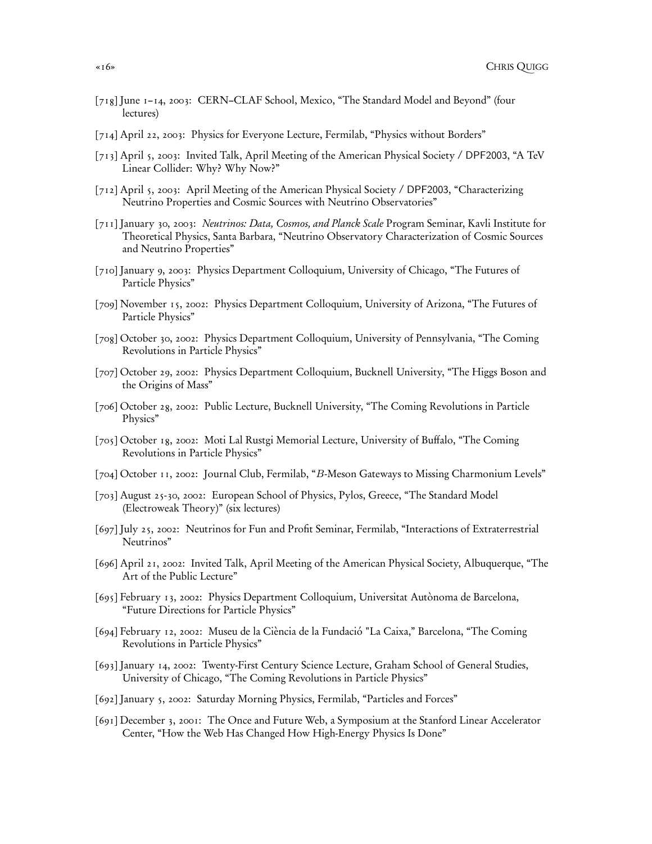- [718] June 1–14, 2003: CERN–CLAF School, Mexico, "The Standard Model and Beyond" (four lectures)
- [714] April 22, 2003: Physics for Everyone Lecture, Fermilab, "Physics without Borders"
- [713] April 5, 2003: Invited Talk, April Meeting of the American Physical Society / DPF2003, "A TeV Linear Collider: Why? Why Now?"
- [712] April 5, 2003: April Meeting of the American Physical Society / DPF2003, "Characterizing Neutrino Properties and Cosmic Sources with Neutrino Observatories"
- [711] January 30, 2003: Neutrinos: Data, Cosmos, and Planck Scale Program Seminar, Kavli Institute for Theoretical Physics, Santa Barbara, "Neutrino Observatory Characterization of Cosmic Sources and Neutrino Properties"
- [710] January 9, 2003: Physics Department Colloquium, University of Chicago, "The Futures of Particle Physics"
- [709] November 15, 2002: Physics Department Colloquium, University of Arizona, "The Futures of Particle Physics"
- [708] October 30, 2002: Physics Department Colloquium, University of Pennsylvania, "The Coming Revolutions in Particle Physics"
- [707] October 29, 2002: Physics Department Colloquium, Bucknell University, "The Higgs Boson and the Origins of Mass"
- [706] October 28, 2002: Public Lecture, Bucknell University, "The Coming Revolutions in Particle Physics"
- [705] October 18, 2002: Moti Lal Rustgi Memorial Lecture, University of Buffalo, "The Coming Revolutions in Particle Physics"
- [704] October 11, 2002: Journal Club, Fermilab, "B-Meson Gateways to Missing Charmonium Levels"
- [703] August 25-30, 2002: European School of Physics, Pylos, Greece, "The Standard Model (Electroweak Theory)" (six lectures)
- [697] July 25, 2002: Neutrinos for Fun and Profit Seminar, Fermilab, "Interactions of Extraterrestrial Neutrinos"
- [696] April 21, 2002: Invited Talk, April Meeting of the American Physical Society, Albuquerque, "The Art of the Public Lecture"
- [695] February 13, 2002: Physics Department Colloquium, Universitat Autònoma de Barcelona, "Future Directions for Particle Physics"
- [694] February 12, 2002: Museu de la Ciència de la Fundació "La Caixa," Barcelona, "The Coming Revolutions in Particle Physics"
- [693] January 14, 2002: Twenty-First Century Science Lecture, Graham School of General Studies, University of Chicago, "The Coming Revolutions in Particle Physics"
- [692] January 5, 2002: Saturday Morning Physics, Fermilab, "Particles and Forces"
- [691] December 3, 2001: The Once and Future Web, a Symposium at the Stanford Linear Accelerator Center, "How the Web Has Changed How High-Energy Physics Is Done"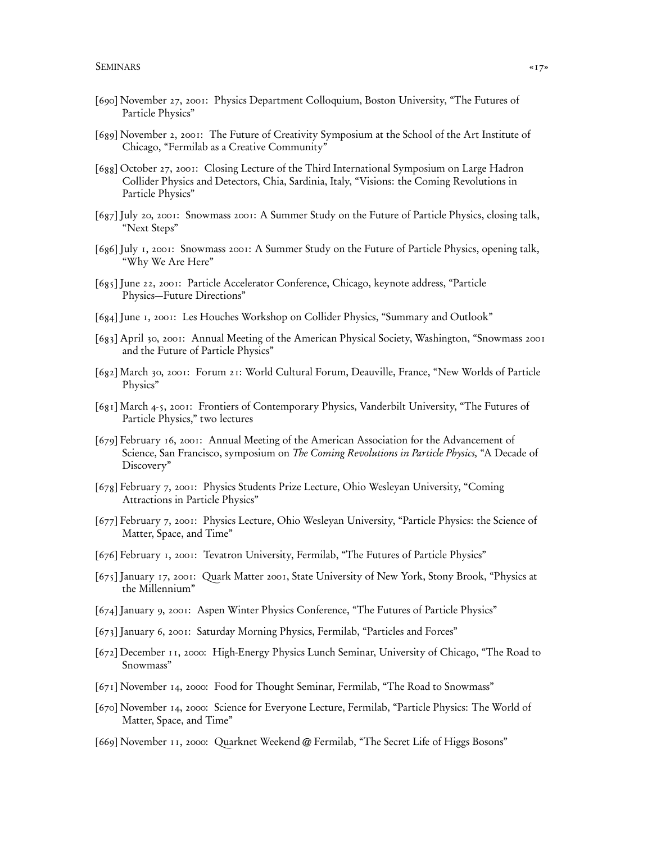- [690] November 27, 2001: Physics Department Colloquium, Boston University, "The Futures of Particle Physics"
- [689] November 2, 2001: The Future of Creativity Symposium at the School of the Art Institute of Chicago, "Fermilab as a Creative Community"
- [688] October 27, 2001: Closing Lecture of the Third International Symposium on Large Hadron Collider Physics and Detectors, Chia, Sardinia, Italy, "Visions: the Coming Revolutions in Particle Physics"
- [687] July 20, 2001: Snowmass 2001: A Summer Study on the Future of Particle Physics, closing talk, "Next Steps"
- [686] July 1, 2001: Snowmass 2001: A Summer Study on the Future of Particle Physics, opening talk, "Why We Are Here"
- [685] June 22, 2001: Particle Accelerator Conference, Chicago, keynote address, "Particle Physics—Future Directions"
- [684] June 1, 2001: Les Houches Workshop on Collider Physics, "Summary and Outlook"
- [683] April 30, 2001: Annual Meeting of the American Physical Society, Washington, "Snowmass 2001 and the Future of Particle Physics"
- [682] March 30, 2001: Forum 21: World Cultural Forum, Deauville, France, "New Worlds of Particle Physics"
- [681] March 4-5, 2001: Frontiers of Contemporary Physics, Vanderbilt University, "The Futures of Particle Physics," two lectures
- [679] February 16, 2001: Annual Meeting of the American Association for the Advancement of Science, San Francisco, symposium on *The Coming Revolutions in Particle Physics*, "A Decade of Discovery"
- [678] February 7, 2001: Physics Students Prize Lecture, Ohio Wesleyan University, "Coming Attractions in Particle Physics"
- [677] February 7, 2001: Physics Lecture, Ohio Wesleyan University, "Particle Physics: the Science of Matter, Space, and Time"
- [676] February 1, 2001: Tevatron University, Fermilab, "The Futures of Particle Physics"
- [675] January 17, 2001: Quark Matter 2001, State University of New York, Stony Brook, "Physics at the Millennium"
- [674] January 9, 2001: Aspen Winter Physics Conference, "The Futures of Particle Physics"
- [673] January 6, 2001: Saturday Morning Physics, Fermilab, "Particles and Forces"
- [672] December 11, 2000: High-Energy Physics Lunch Seminar, University of Chicago, "The Road to Snowmass"
- [671] November 14, 2000: Food for Thought Seminar, Fermilab, "The Road to Snowmass"
- [670] November 14, 2000: Science for Everyone Lecture, Fermilab, "Particle Physics: The World of Matter, Space, and Time"
- [669] November 11, 2000: Quarknet Weekend @ Fermilab, "The Secret Life of Higgs Bosons"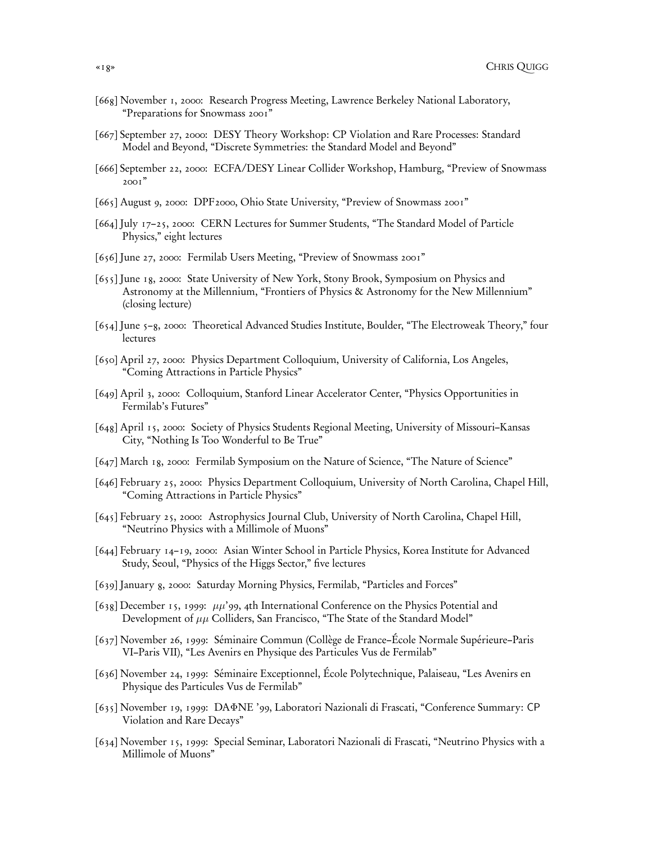- [668] November 1, 2000: Research Progress Meeting, Lawrence Berkeley National Laboratory, "Preparations for Snowmass 2001"
- [667] September 27, 2000: DESY Theory Workshop: CP Violation and Rare Processes: Standard Model and Beyond, "Discrete Symmetries: the Standard Model and Beyond"
- [666] September 22, 2000: ECFA/DESY Linear Collider Workshop, Hamburg, "Preview of Snowmass 2001"
- [665] August 9, 2000: DPF2000, Ohio State University, "Preview of Snowmass 2001"
- [664] July 17–25, 2000: CERN Lectures for Summer Students, "The Standard Model of Particle Physics," eight lectures
- [656] June 27, 2000: Fermilab Users Meeting, "Preview of Snowmass 2001"
- [655] June 18, 2000: State University of New York, Stony Brook, Symposium on Physics and Astronomy at the Millennium, "Frontiers of Physics & Astronomy for the New Millennium" (closing lecture)
- [654] June 5–8, 2000: Theoretical Advanced Studies Institute, Boulder, "The Electroweak Theory," four lectures
- [650] April 27, 2000: Physics Department Colloquium, University of California, Los Angeles, "Coming Attractions in Particle Physics"
- [649] April 3, 2000: Colloquium, Stanford Linear Accelerator Center, "Physics Opportunities in Fermilab's Futures"
- [648] April 15, 2000: Society of Physics Students Regional Meeting, University of Missouri–Kansas City, "Nothing Is Too Wonderful to Be True"
- [647] March 18, 2000: Fermilab Symposium on the Nature of Science, "The Nature of Science"
- [646] February 25, 2000: Physics Department Colloquium, University of North Carolina, Chapel Hill, "Coming Attractions in Particle Physics"
- [645] February 25, 2000: Astrophysics Journal Club, University of North Carolina, Chapel Hill, "Neutrino Physics with a Millimole of Muons"
- [644] February 14–19, 2000: Asian Winter School in Particle Physics, Korea Institute for Advanced Study, Seoul, "Physics of the Higgs Sector," five lectures
- [639] January 8, 2000: Saturday Morning Physics, Fermilab, "Particles and Forces"
- [638] December 15, 1999:  $\mu\mu'$ 99, 4th International Conference on the Physics Potential and Development of  $\mu\mu$  Colliders, San Francisco, "The State of the Standard Model"
- [637] November 26, 1999: Séminaire Commun (Collège de France–École Normale Supérieure–Paris VI–Paris VII), "Les Avenirs en Physique des Particules Vus de Fermilab"
- [636] November 24, 1999: Séminaire Exceptionnel, École Polytechnique, Palaiseau, "Les Avenirs en Physique des Particules Vus de Fermilab"
- [635] November 19, 1999: DAΦNE '99, Laboratori Nazionali di Frascati, "Conference Summary: CP Violation and Rare Decays"
- [634] November 15, 1999: Special Seminar, Laboratori Nazionali di Frascati, "Neutrino Physics with a Millimole of Muons"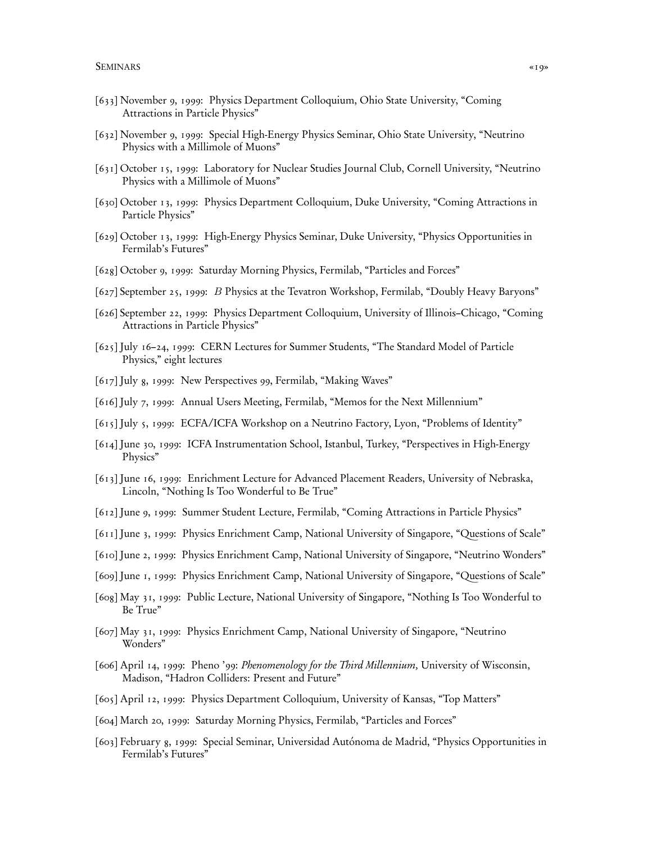- [633] November 9, 1999: Physics Department Colloquium, Ohio State University, "Coming Attractions in Particle Physics"
- [632] November 9, 1999: Special High-Energy Physics Seminar, Ohio State University, "Neutrino Physics with a Millimole of Muons"
- [631] October 15, 1999: Laboratory for Nuclear Studies Journal Club, Cornell University, "Neutrino Physics with a Millimole of Muons"
- [630] October 13, 1999: Physics Department Colloquium, Duke University, "Coming Attractions in Particle Physics"
- [629] October 13, 1999: High-Energy Physics Seminar, Duke University, "Physics Opportunities in Fermilab's Futures"
- [628] October 9, 1999: Saturday Morning Physics, Fermilab, "Particles and Forces"
- [627] September 25, 1999: B Physics at the Tevatron Workshop, Fermilab, "Doubly Heavy Baryons"
- [626] September 22, 1999: Physics Department Colloquium, University of Illinois–Chicago, "Coming Attractions in Particle Physics"
- [625] July 16–24, 1999: CERN Lectures for Summer Students, "The Standard Model of Particle Physics," eight lectures
- [617] July 8, 1999: New Perspectives 99, Fermilab, "Making Waves"
- [616] July 7, 1999: Annual Users Meeting, Fermilab, "Memos for the Next Millennium"
- [615] July 5, 1999: ECFA/ICFA Workshop on a Neutrino Factory, Lyon, "Problems of Identity"
- [614] June 30, 1999: ICFA Instrumentation School, Istanbul, Turkey, "Perspectives in High-Energy Physics"
- [613] June 16, 1999: Enrichment Lecture for Advanced Placement Readers, University of Nebraska, Lincoln, "Nothing Is Too Wonderful to Be True"
- [612] June 9, 1999: Summer Student Lecture, Fermilab, "Coming Attractions in Particle Physics"
- [611] June 3, 1999: Physics Enrichment Camp, National University of Singapore, "Questions of Scale"
- [610] June 2, 1999: Physics Enrichment Camp, National University of Singapore, "Neutrino Wonders"
- [609] June 1, 1999: Physics Enrichment Camp, National University of Singapore, "Questions of Scale"
- [608] May 31, 1999: Public Lecture, National University of Singapore, "Nothing Is Too Wonderful to Be True"
- [607] May 31, 1999: Physics Enrichment Camp, National University of Singapore, "Neutrino Wonders"
- [606] April 14, 1999: Pheno '99: Phenomenology for the Third Millennium, University of Wisconsin, Madison, "Hadron Colliders: Present and Future"
- [605] April 12, 1999: Physics Department Colloquium, University of Kansas, "Top Matters"
- [604] March 20, 1999: Saturday Morning Physics, Fermilab, "Particles and Forces"
- [603] February 8, 1999: Special Seminar, Universidad Autónoma de Madrid, "Physics Opportunities in Fermilab's Futures"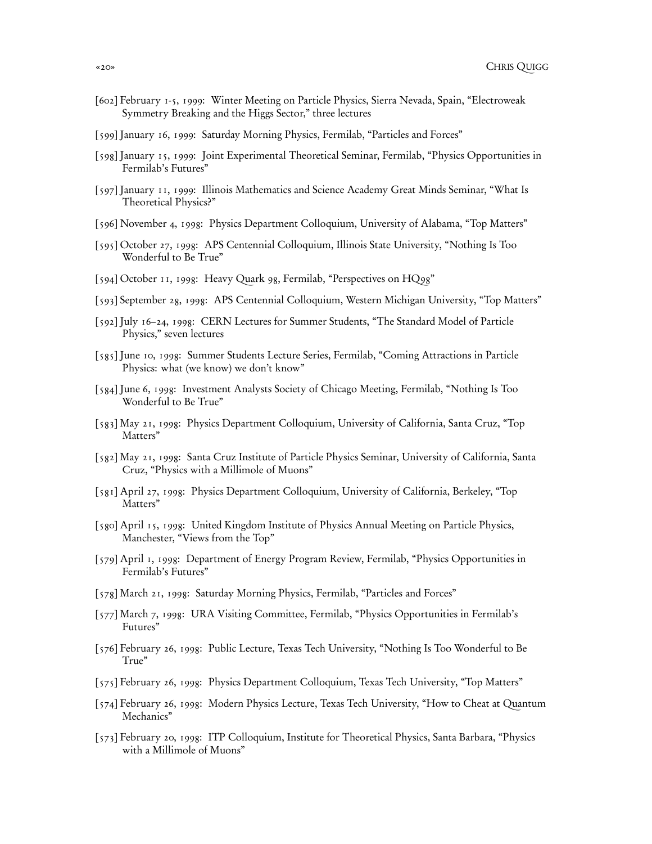- [602] February 1-5, 1999: Winter Meeting on Particle Physics, Sierra Nevada, Spain, "Electroweak Symmetry Breaking and the Higgs Sector," three lectures
- [599] January 16, 1999: Saturday Morning Physics, Fermilab, "Particles and Forces"
- [598] January 15, 1999: Joint Experimental Theoretical Seminar, Fermilab, "Physics Opportunities in Fermilab's Futures"
- [597] January 11, 1999: Illinois Mathematics and Science Academy Great Minds Seminar, "What Is Theoretical Physics?"
- [596] November 4, 1998: Physics Department Colloquium, University of Alabama, "Top Matters"
- [595] October 27, 1998: APS Centennial Colloquium, Illinois State University, "Nothing Is Too Wonderful to Be True"
- [594] October 11, 1998: Heavy Quark 98, Fermilab, "Perspectives on HQ98"
- [593] September 28, 1998: APS Centennial Colloquium, Western Michigan University, "Top Matters"
- [592] July 16–24, 1998: CERN Lectures for Summer Students, "The Standard Model of Particle Physics," seven lectures
- [585] June 10, 1998: Summer Students Lecture Series, Fermilab, "Coming Attractions in Particle Physics: what (we know) we don't know"
- [584] June 6, 1998: Investment Analysts Society of Chicago Meeting, Fermilab, "Nothing Is Too Wonderful to Be True"
- [583] May 21, 1998: Physics Department Colloquium, University of California, Santa Cruz, "Top Matters"
- [582] May 21, 1998: Santa Cruz Institute of Particle Physics Seminar, University of California, Santa Cruz, "Physics with a Millimole of Muons"
- [581] April 27, 1998: Physics Department Colloquium, University of California, Berkeley, "Top Matters"
- [580] April 15, 1998: United Kingdom Institute of Physics Annual Meeting on Particle Physics, Manchester, "Views from the Top"
- [579] April 1, 1998: Department of Energy Program Review, Fermilab, "Physics Opportunities in Fermilab's Futures"
- [578] March 21, 1998: Saturday Morning Physics, Fermilab, "Particles and Forces"
- [577] March 7, 1998: URA Visiting Committee, Fermilab, "Physics Opportunities in Fermilab's Futures"
- [576] February 26, 1998: Public Lecture, Texas Tech University, "Nothing Is Too Wonderful to Be True"
- [575] February 26, 1998: Physics Department Colloquium, Texas Tech University, "Top Matters"
- [574] February 26, 1998: Modern Physics Lecture, Texas Tech University, "How to Cheat at Quantum Mechanics"
- [573] February 20, 1998: ITP Colloquium, Institute for Theoretical Physics, Santa Barbara, "Physics with a Millimole of Muons"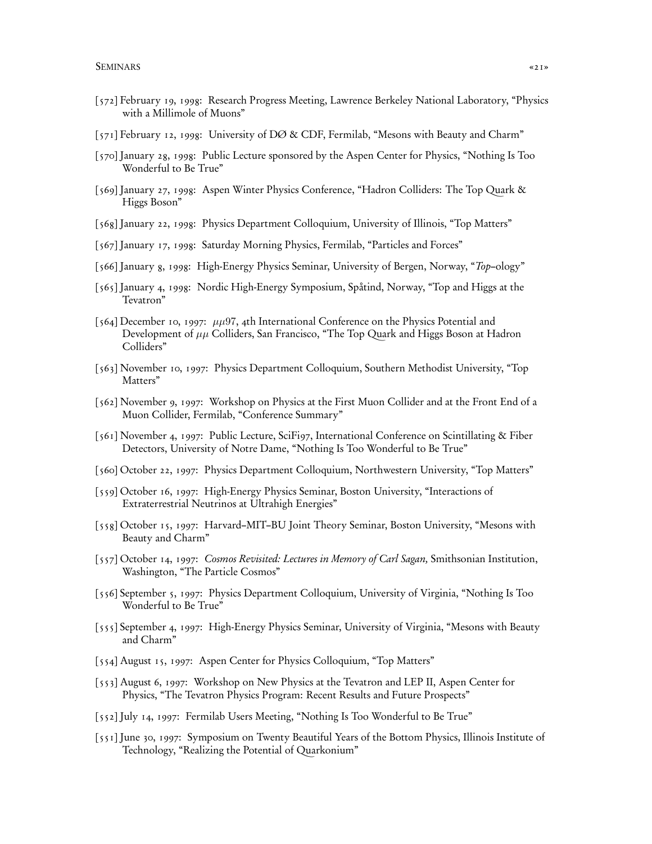- [572] February 19, 1998: Research Progress Meeting, Lawrence Berkeley National Laboratory, "Physics with a Millimole of Muons"
- [571] February 12, 1998: University of DØ & CDF, Fermilab, "Mesons with Beauty and Charm"
- [570] January 28, 1998: Public Lecture sponsored by the Aspen Center for Physics, "Nothing Is Too Wonderful to Be True"
- [569] January 27, 1998: Aspen Winter Physics Conference, "Hadron Colliders: The Top Quark & Higgs Boson"
- [568] January 22, 1998: Physics Department Colloquium, University of Illinois, "Top Matters"
- [567] January 17, 1998: Saturday Morning Physics, Fermilab, "Particles and Forces"
- [566] January 8, 1998: High-Energy Physics Seminar, University of Bergen, Norway, "Top–ology"
- [565] January 4, 1998: Nordic High-Energy Symposium, Spåtind, Norway, "Top and Higgs at the Tevatron"
- [564] December 10, 1997:  $\mu\mu$ 97, 4th International Conference on the Physics Potential and Development of  $\mu\mu$  Colliders, San Francisco, "The Top Quark and Higgs Boson at Hadron Colliders"
- [563] November 10, 1997: Physics Department Colloquium, Southern Methodist University, "Top Matters"
- [562] November 9, 1997: Workshop on Physics at the First Muon Collider and at the Front End of a Muon Collider, Fermilab, "Conference Summary"
- [561] November 4, 1997: Public Lecture, SciFi97, International Conference on Scintillating & Fiber Detectors, University of Notre Dame, "Nothing Is Too Wonderful to Be True"
- [560] October 22, 1997: Physics Department Colloquium, Northwestern University, "Top Matters"
- [559] October 16, 1997: High-Energy Physics Seminar, Boston University, "Interactions of Extraterrestrial Neutrinos at Ultrahigh Energies"
- [558] October 15, 1997: Harvard–MIT–BU Joint Theory Seminar, Boston University, "Mesons with Beauty and Charm"
- [557] October 14, 1997: Cosmos Revisited: Lectures in Memory of Carl Sagan, Smithsonian Institution, Washington, "The Particle Cosmos"
- [556] September 5, 1997: Physics Department Colloquium, University of Virginia, "Nothing Is Too Wonderful to Be True"
- [555] September 4, 1997: High-Energy Physics Seminar, University of Virginia, "Mesons with Beauty and Charm"
- [554] August 15, 1997: Aspen Center for Physics Colloquium, "Top Matters"
- [553] August 6, 1997: Workshop on New Physics at the Tevatron and LEP II, Aspen Center for Physics, "The Tevatron Physics Program: Recent Results and Future Prospects"
- [552] July 14, 1997: Fermilab Users Meeting, "Nothing Is Too Wonderful to Be True"
- [551] June 30, 1997: Symposium on Twenty Beautiful Years of the Bottom Physics, Illinois Institute of Technology, "Realizing the Potential of Quarkonium"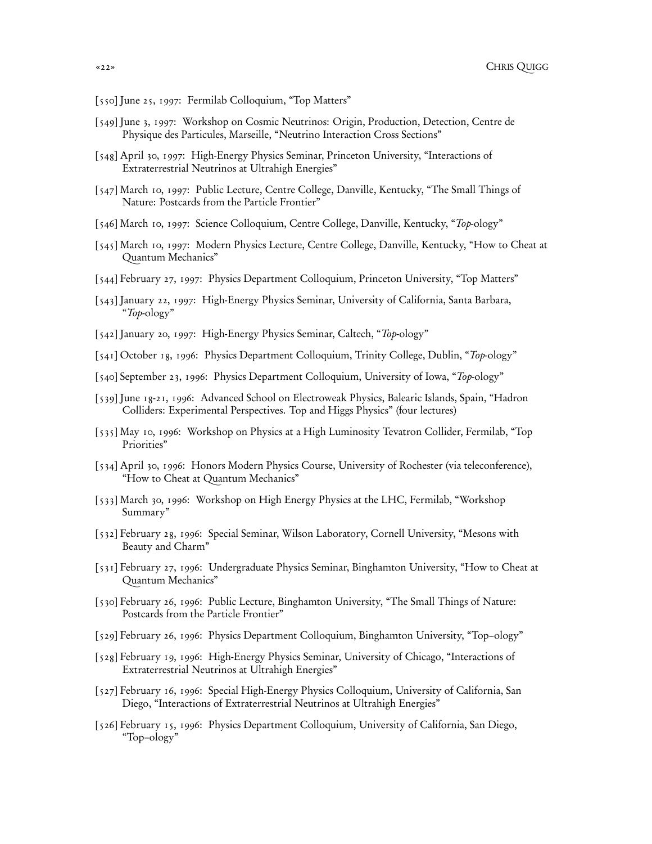- [550] June 25, 1997: Fermilab Colloquium, "Top Matters"
- [549] June 3, 1997: Workshop on Cosmic Neutrinos: Origin, Production, Detection, Centre de Physique des Particules, Marseille, "Neutrino Interaction Cross Sections"
- [548] April 30, 1997: High-Energy Physics Seminar, Princeton University, "Interactions of Extraterrestrial Neutrinos at Ultrahigh Energies"
- [547] March 10, 1997: Public Lecture, Centre College, Danville, Kentucky, "The Small Things of Nature: Postcards from the Particle Frontier"
- [546] March 10, 1997: Science Colloquium, Centre College, Danville, Kentucky, "Top-ology"
- [545] March 10, 1997: Modern Physics Lecture, Centre College, Danville, Kentucky, "How to Cheat at Quantum Mechanics"
- [544] February 27, 1997: Physics Department Colloquium, Princeton University, "Top Matters"
- [543] January 22, 1997: High-Energy Physics Seminar, University of California, Santa Barbara, "Top-ology"
- [542] January 20, 1997: High-Energy Physics Seminar, Caltech, "Top-ology"
- [541] October 18, 1996: Physics Department Colloquium, Trinity College, Dublin, "Top-ology"
- [540] September 23, 1996: Physics Department Colloquium, University of Iowa, "Top-ology"
- [539] June 18-21, 1996: Advanced School on Electroweak Physics, Balearic Islands, Spain, "Hadron Colliders: Experimental Perspectives. Top and Higgs Physics" (four lectures)
- [535] May 10, 1996: Workshop on Physics at a High Luminosity Tevatron Collider, Fermilab, "Top Priorities"
- [534] April 30, 1996: Honors Modern Physics Course, University of Rochester (via teleconference), "How to Cheat at Quantum Mechanics"
- [533] March 30, 1996: Workshop on High Energy Physics at the LHC, Fermilab, "Workshop Summary"
- [532] February 28, 1996: Special Seminar, Wilson Laboratory, Cornell University, "Mesons with Beauty and Charm"
- [531] February 27, 1996: Undergraduate Physics Seminar, Binghamton University, "How to Cheat at Quantum Mechanics"
- [530] February 26, 1996: Public Lecture, Binghamton University, "The Small Things of Nature: Postcards from the Particle Frontier"
- [529] February 26, 1996: Physics Department Colloquium, Binghamton University, "Top–ology"
- [528] February 19, 1996: High-Energy Physics Seminar, University of Chicago, "Interactions of Extraterrestrial Neutrinos at Ultrahigh Energies"
- [527] February 16, 1996: Special High-Energy Physics Colloquium, University of California, San Diego, "Interactions of Extraterrestrial Neutrinos at Ultrahigh Energies"
- [526] February 15, 1996: Physics Department Colloquium, University of California, San Diego, "Top–ology"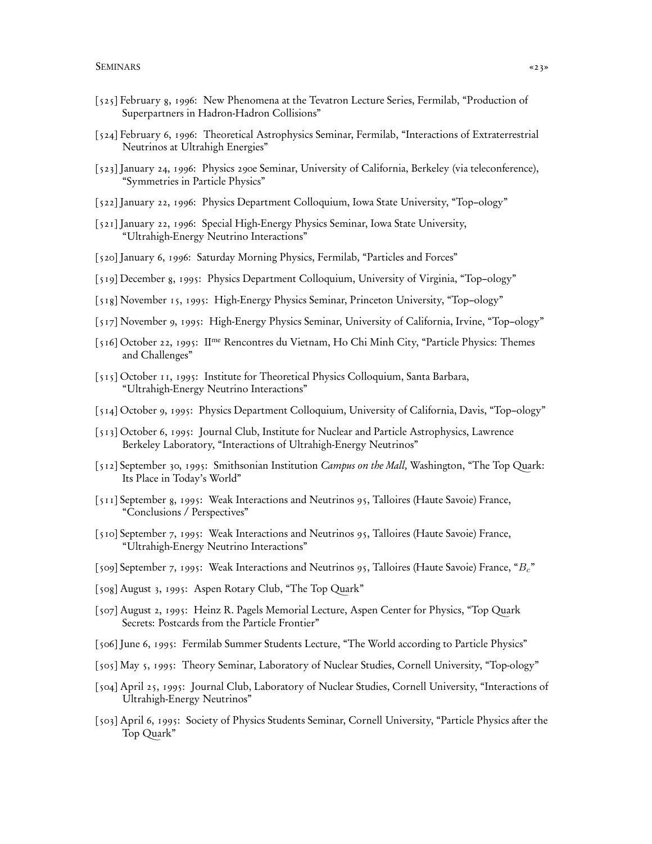- [525] February 8, 1996: New Phenomena at the Tevatron Lecture Series, Fermilab, "Production of Superpartners in Hadron-Hadron Collisions"
- [524] February 6, 1996: Theoretical Astrophysics Seminar, Fermilab, "Interactions of Extraterrestrial Neutrinos at Ultrahigh Energies"
- [523] January 24, 1996: Physics 290e Seminar, University of California, Berkeley (via teleconference), "Symmetries in Particle Physics"
- [522] January 22, 1996: Physics Department Colloquium, Iowa State University, "Top–ology"
- [521] January 22, 1996: Special High-Energy Physics Seminar, Iowa State University, "Ultrahigh-Energy Neutrino Interactions"
- [520] January 6, 1996: Saturday Morning Physics, Fermilab, "Particles and Forces"
- [519] December 8, 1995: Physics Department Colloquium, University of Virginia, "Top–ology"
- [518] November 15, 1995: High-Energy Physics Seminar, Princeton University, "Top–ology"
- [517] November 9, 1995: High-Energy Physics Seminar, University of California, Irvine, "Top–ology"
- [516] October 22, 1995: IIme Rencontres du Vietnam, Ho Chi Minh City, "Particle Physics: Themes and Challenges"
- [515] October 11, 1995: Institute for Theoretical Physics Colloquium, Santa Barbara, "Ultrahigh-Energy Neutrino Interactions"
- [514] October 9, 1995: Physics Department Colloquium, University of California, Davis, "Top–ology"
- [513] October 6, 1995: Journal Club, Institute for Nuclear and Particle Astrophysics, Lawrence Berkeley Laboratory, "Interactions of Ultrahigh-Energy Neutrinos"
- [512] September 30, 1995: Smithsonian Institution Campus on the Mall, Washington, "The Top Quark: Its Place in Today's World"
- [511] September 8, 1995: Weak Interactions and Neutrinos 95, Talloires (Haute Savoie) France, "Conclusions / Perspectives"
- [510] September 7, 1995: Weak Interactions and Neutrinos 95, Talloires (Haute Savoie) France, "Ultrahigh-Energy Neutrino Interactions"
- [509] September 7, 1995: Weak Interactions and Neutrinos 95, Talloires (Haute Savoie) France, "Bc"
- [508] August 3, 1995: Aspen Rotary Club, "The Top Quark"
- [507] August 2, 1995: Heinz R. Pagels Memorial Lecture, Aspen Center for Physics, "Top Quark Secrets: Postcards from the Particle Frontier"
- [506] June 6, 1995: Fermilab Summer Students Lecture, "The World according to Particle Physics"
- [505] May 5, 1995: Theory Seminar, Laboratory of Nuclear Studies, Cornell University, "Top-ology"
- [504] April 25, 1995: Journal Club, Laboratory of Nuclear Studies, Cornell University, "Interactions of Ultrahigh-Energy Neutrinos"
- [503] April 6, 1995: Society of Physics Students Seminar, Cornell University, "Particle Physics after the Top Quark"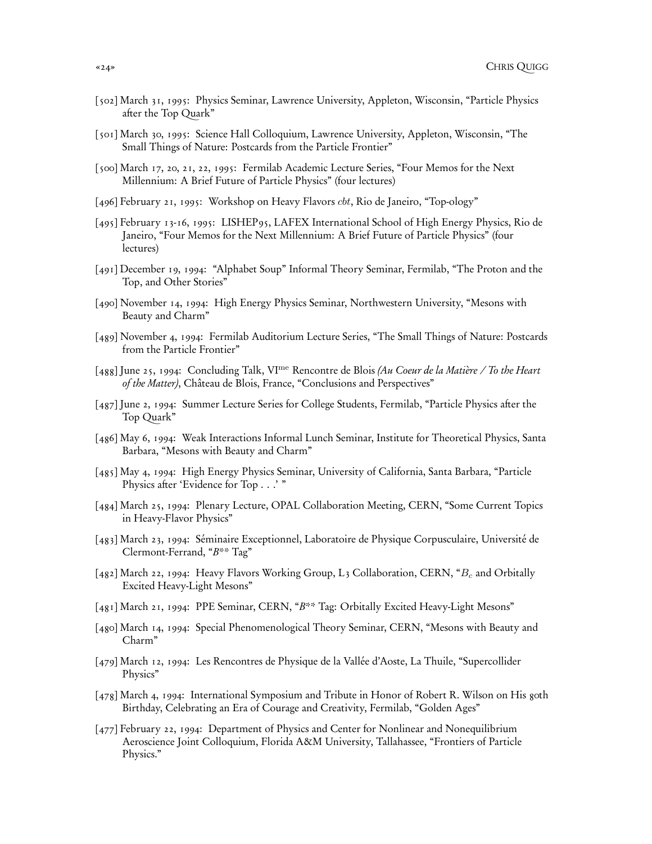- [502] March 31, 1995: Physics Seminar, Lawrence University, Appleton, Wisconsin, "Particle Physics after the Top Quark"
- [501] March 30, 1995: Science Hall Colloquium, Lawrence University, Appleton, Wisconsin, "The Small Things of Nature: Postcards from the Particle Frontier"
- [500] March 17, 20, 21, 22, 1995: Fermilab Academic Lecture Series, "Four Memos for the Next Millennium: A Brief Future of Particle Physics" (four lectures)
- [496] February 21, 1995: Workshop on Heavy Flavors cbt, Rio de Janeiro, "Top-ology"
- [495] February 13-16, 1995: LISHEP95, LAFEX International School of High Energy Physics, Rio de Janeiro, "Four Memos for the Next Millennium: A Brief Future of Particle Physics" (four lectures)
- [491] December 19, 1994: "Alphabet Soup" Informal Theory Seminar, Fermilab, "The Proton and the Top, and Other Stories"
- [490] November 14, 1994: High Energy Physics Seminar, Northwestern University, "Mesons with Beauty and Charm"
- [489] November 4, 1994: Fermilab Auditorium Lecture Series, "The Small Things of Nature: Postcards from the Particle Frontier"
- [488] June 25, 1994: Concluding Talk, VI<sup>me</sup> Rencontre de Blois (Au Coeur de la Matière / To the Heart of the Matter), Château de Blois, France, "Conclusions and Perspectives"
- [487] June 2, 1994: Summer Lecture Series for College Students, Fermilab, "Particle Physics after the Top Quark"
- [486] May 6, 1994: Weak Interactions Informal Lunch Seminar, Institute for Theoretical Physics, Santa Barbara, "Mesons with Beauty and Charm"
- [485] May 4, 1994: High Energy Physics Seminar, University of California, Santa Barbara, "Particle Physics after 'Evidence for Top . . .' "
- [484] March 25, 1994: Plenary Lecture, OPAL Collaboration Meeting, CERN, "Some Current Topics in Heavy-Flavor Physics"
- [483] March 23, 1994: Séminaire Exceptionnel, Laboratoire de Physique Corpusculaire, Université de Clermont-Ferrand, "B\*\* Tag"
- [482] March 22, 1994: Heavy Flavors Working Group, L<sub>3</sub> Collaboration, CERN, " $B_c$  and Orbitally Excited Heavy-Light Mesons"
- [481] March 21, 1994: PPE Seminar, CERN, "B\*\* Tag: Orbitally Excited Heavy-Light Mesons"
- [480] March 14, 1994: Special Phenomenological Theory Seminar, CERN, "Mesons with Beauty and Charm"
- [479] March 12, 1994: Les Rencontres de Physique de la Vallée d'Aoste, La Thuile, "Supercollider Physics"
- [478] March 4, 1994: International Symposium and Tribute in Honor of Robert R. Wilson on His goth Birthday, Celebrating an Era of Courage and Creativity, Fermilab, "Golden Ages"
- [477] February 22, 1994: Department of Physics and Center for Nonlinear and Nonequilibrium Aeroscience Joint Colloquium, Florida A&M University, Tallahassee, "Frontiers of Particle Physics."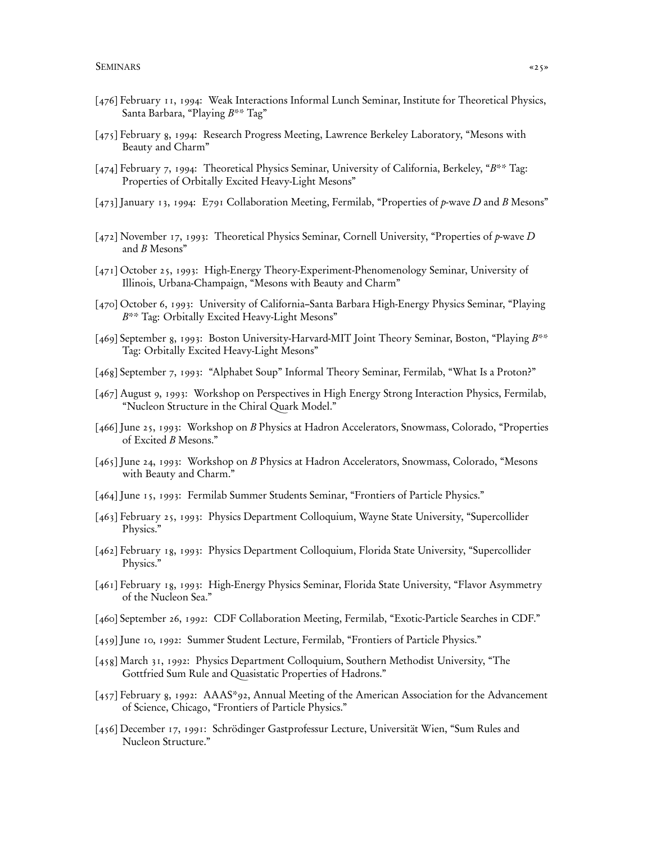- [476] February 11, 1994: Weak Interactions Informal Lunch Seminar, Institute for Theoretical Physics, Santa Barbara, "Playing B\*\* Tag"
- [475] February 8, 1994: Research Progress Meeting, Lawrence Berkeley Laboratory, "Mesons with Beauty and Charm"
- [474] February 7, 1994: Theoretical Physics Seminar, University of California, Berkeley, "B\*\* Tag: Properties of Orbitally Excited Heavy-Light Mesons"
- [473] January 13, 1994: E791 Collaboration Meeting, Fermilab, "Properties of p-wave D and B Mesons"
- [472] November 17, 1993: Theoretical Physics Seminar, Cornell University, "Properties of p-wave D and B Mesons"
- [471] October 25, 1993: High-Energy Theory-Experiment-Phenomenology Seminar, University of Illinois, Urbana-Champaign, "Mesons with Beauty and Charm"
- [470] October 6, 1993: University of California–Santa Barbara High-Energy Physics Seminar, "Playing B\*\* Tag: Orbitally Excited Heavy-Light Mesons"
- [469] September 8, 1993: Boston University-Harvard-MIT Joint Theory Seminar, Boston, "Playing B\*\* Tag: Orbitally Excited Heavy-Light Mesons"
- [468] September 7, 1993: "Alphabet Soup" Informal Theory Seminar, Fermilab, "What Is a Proton?"
- [467] August 9, 1993: Workshop on Perspectives in High Energy Strong Interaction Physics, Fermilab, "Nucleon Structure in the Chiral Quark Model."
- [466] June 25, 1993: Workshop on B Physics at Hadron Accelerators, Snowmass, Colorado, "Properties of Excited B Mesons."
- [465] June 24, 1993: Workshop on B Physics at Hadron Accelerators, Snowmass, Colorado, "Mesons with Beauty and Charm."
- [464] June 15, 1993: Fermilab Summer Students Seminar, "Frontiers of Particle Physics."
- [463] February 25, 1993: Physics Department Colloquium, Wayne State University, "Supercollider Physics."
- [462] February 18, 1993: Physics Department Colloquium, Florida State University, "Supercollider Physics."
- [461] February 18, 1993: High-Energy Physics Seminar, Florida State University, "Flavor Asymmetry of the Nucleon Sea."
- [460] September 26, 1992: CDF Collaboration Meeting, Fermilab, "Exotic-Particle Searches in CDF."
- [459] June 10, 1992: Summer Student Lecture, Fermilab, "Frontiers of Particle Physics."
- [458] March 31, 1992: Physics Department Colloquium, Southern Methodist University, "The Gottfried Sum Rule and Quasistatic Properties of Hadrons."
- [457] February 8, 1992: AAAS\*92, Annual Meeting of the American Association for the Advancement of Science, Chicago, "Frontiers of Particle Physics."
- [456] December 17, 1991: Schrödinger Gastprofessur Lecture, Universität Wien, "Sum Rules and Nucleon Structure."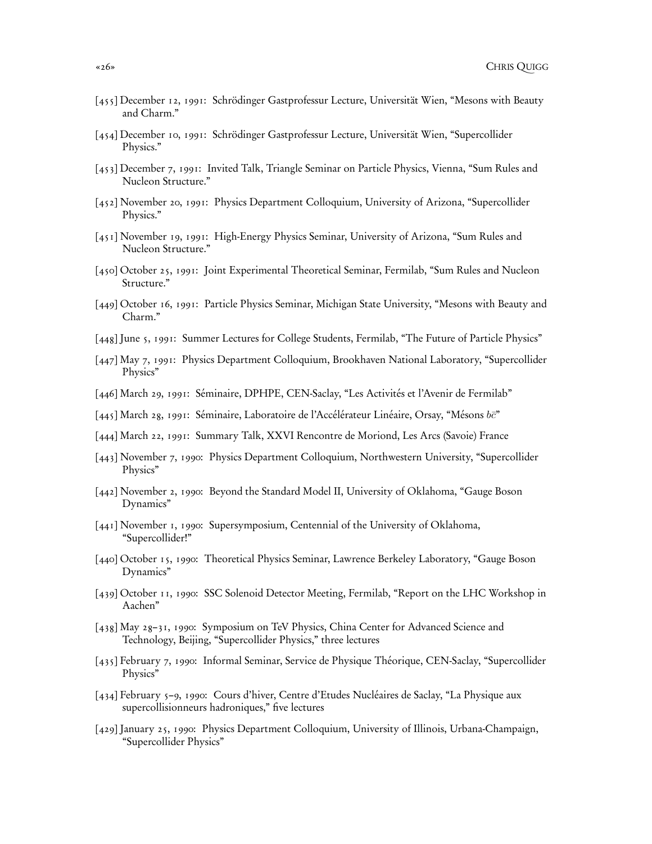- [455] December 12, 1991: Schrödinger Gastprofessur Lecture, Universität Wien, "Mesons with Beauty and Charm."
- [454] December 10, 1991: Schrödinger Gastprofessur Lecture, Universität Wien, "Supercollider Physics."
- [453] December 7, 1991: Invited Talk, Triangle Seminar on Particle Physics, Vienna, "Sum Rules and Nucleon Structure."
- [452] November 20, 1991: Physics Department Colloquium, University of Arizona, "Supercollider Physics."
- [451] November 19, 1991: High-Energy Physics Seminar, University of Arizona, "Sum Rules and Nucleon Structure."
- [450] October 25, 1991: Joint Experimental Theoretical Seminar, Fermilab, "Sum Rules and Nucleon Structure."
- [449] October 16, 1991: Particle Physics Seminar, Michigan State University, "Mesons with Beauty and Charm."
- [448] June 5, 1991: Summer Lectures for College Students, Fermilab, "The Future of Particle Physics"
- [447] May 7, 1991: Physics Department Colloquium, Brookhaven National Laboratory, "Supercollider Physics"
- [446] March 29, 1991: Séminaire, DPHPE, CEN-Saclay, "Les Activités et l'Avenir de Fermilab"
- [445] March 28, 1991: Séminaire, Laboratoire de l'Accélérateur Linéaire, Orsay, "Mésons be"
- [444] March 22, 1991: Summary Talk, XXVI Rencontre de Moriond, Les Arcs (Savoie) France
- [443] November 7, 1990: Physics Department Colloquium, Northwestern University, "Supercollider Physics"
- [442] November 2, 1990: Beyond the Standard Model II, University of Oklahoma, "Gauge Boson Dynamics"
- [441] November 1, 1990: Supersymposium, Centennial of the University of Oklahoma, "Supercollider!"
- [440] October 15, 1990: Theoretical Physics Seminar, Lawrence Berkeley Laboratory, "Gauge Boson Dynamics"
- [439] October 11, 1990: SSC Solenoid Detector Meeting, Fermilab, "Report on the LHC Workshop in Aachen"
- [438] May 28–31, 1990: Symposium on TeV Physics, China Center for Advanced Science and Technology, Beijing, "Supercollider Physics," three lectures
- [435] February 7, 1990: Informal Seminar, Service de Physique Théorique, CEN-Saclay, "Supercollider Physics"
- [434] February 5–9, 1990: Cours d'hiver, Centre d'Etudes Nucléaires de Saclay, "La Physique aux supercollisionneurs hadroniques," five lectures
- [429] January 25, 1990: Physics Department Colloquium, University of Illinois, Urbana-Champaign, "Supercollider Physics"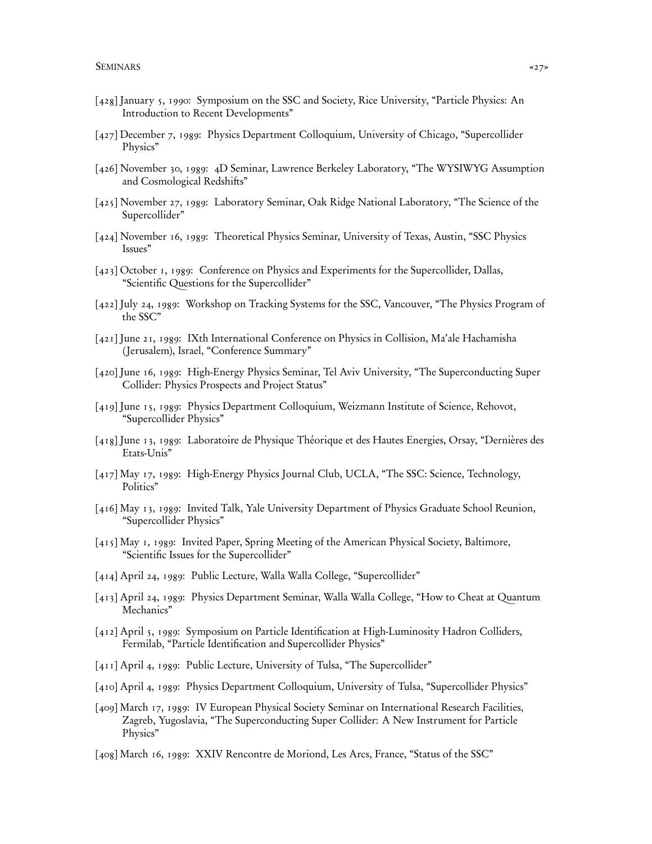- [428] January 5, 1990: Symposium on the SSC and Society, Rice University, "Particle Physics: An Introduction to Recent Developments"
- [427] December 7, 1989: Physics Department Colloquium, University of Chicago, "Supercollider Physics"
- [426] November 30, 1989: 4D Seminar, Lawrence Berkeley Laboratory, "The WYSIWYG Assumption and Cosmological Redshifts"
- [425] November 27, 1989: Laboratory Seminar, Oak Ridge National Laboratory, "The Science of the Supercollider"
- [424] November 16, 1989: Theoretical Physics Seminar, University of Texas, Austin, "SSC Physics Issues"
- [423] October 1, 1989: Conference on Physics and Experiments for the Supercollider, Dallas, "Scientific Questions for the Supercollider"
- [422] July 24, 1989: Workshop on Tracking Systems for the SSC, Vancouver, "The Physics Program of the SSC"
- [421] June 21, 1989: IXth International Conference on Physics in Collision, Ma'ale Hachamisha ( Jerusalem), Israel, "Conference Summary"
- [420] June 16, 1989: High-Energy Physics Seminar, Tel Aviv University, "The Superconducting Super Collider: Physics Prospects and Project Status"
- [419] June 15, 1989: Physics Department Colloquium, Weizmann Institute of Science, Rehovot, "Supercollider Physics"
- [418] June 13, 1989: Laboratoire de Physique Théorique et des Hautes Energies, Orsay, "Dernières des Etats-Unis"
- [417] May 17, 1989: High-Energy Physics Journal Club, UCLA, "The SSC: Science, Technology, Politics"
- [416] May 13, 1989: Invited Talk, Yale University Department of Physics Graduate School Reunion, "Supercollider Physics"
- [415] May 1, 1989: Invited Paper, Spring Meeting of the American Physical Society, Baltimore, "Scientific Issues for the Supercollider"
- [414] April 24, 1989: Public Lecture, Walla Walla College, "Supercollider"
- [413] April 24, 1989: Physics Department Seminar, Walla Walla College, "How to Cheat at Quantum Mechanics"
- [412] April 5, 1989: Symposium on Particle Identification at High-Luminosity Hadron Colliders, Fermilab, "Particle Identification and Supercollider Physics"
- [411] April 4, 1989: Public Lecture, University of Tulsa, "The Supercollider"
- [410] April 4, 1989: Physics Department Colloquium, University of Tulsa, "Supercollider Physics"
- [409] March 17, 1989: IV European Physical Society Seminar on International Research Facilities, Zagreb, Yugoslavia, "The Superconducting Super Collider: A New Instrument for Particle Physics"
- [408] March 16, 1989: XXIV Rencontre de Moriond, Les Arcs, France, "Status of the SSC"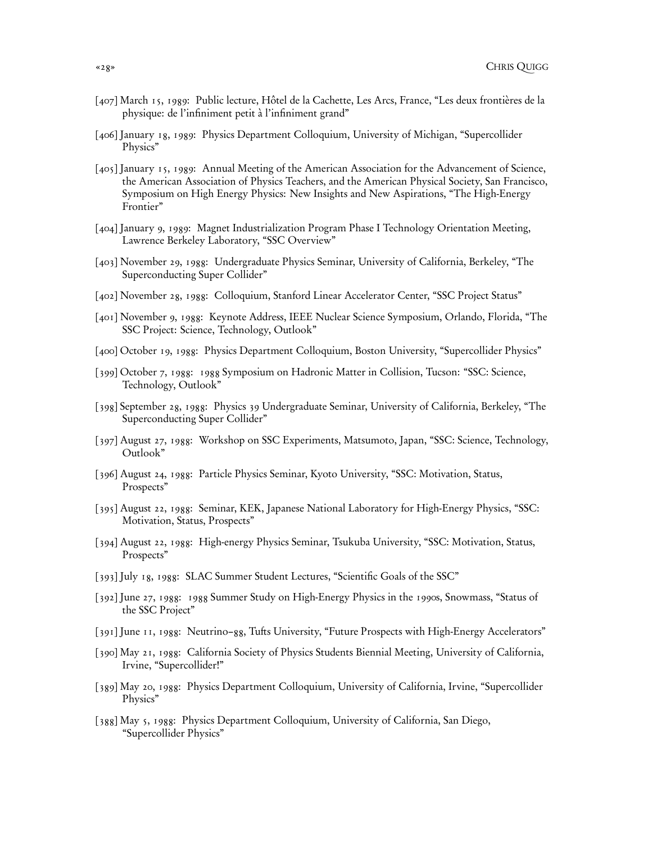- [407] March 15, 1989: Public lecture, Hôtel de la Cachette, Les Arcs, France, "Les deux frontières de la physique: de l'infiniment petit à l'infiniment grand"
- [406] January 18, 1989: Physics Department Colloquium, University of Michigan, "Supercollider Physics"
- [405] January 15, 1989: Annual Meeting of the American Association for the Advancement of Science, the American Association of Physics Teachers, and the American Physical Society, San Francisco, Symposium on High Energy Physics: New Insights and New Aspirations, "The High-Energy Frontier"
- [404] January 9, 1989: Magnet Industrialization Program Phase I Technology Orientation Meeting, Lawrence Berkeley Laboratory, "SSC Overview"
- [403] November 29, 1988: Undergraduate Physics Seminar, University of California, Berkeley, "The Superconducting Super Collider"
- [402] November 28, 1988: Colloquium, Stanford Linear Accelerator Center, "SSC Project Status"
- [401] November 9, 1988: Keynote Address, IEEE Nuclear Science Symposium, Orlando, Florida, "The SSC Project: Science, Technology, Outlook"
- [400] October 19, 1988: Physics Department Colloquium, Boston University, "Supercollider Physics"
- [399] October 7, 1988: 1988 Symposium on Hadronic Matter in Collision, Tucson: "SSC: Science, Technology, Outlook"
- [398] September 28, 1988: Physics 39 Undergraduate Seminar, University of California, Berkeley, "The Superconducting Super Collider"
- [397] August 27, 1988: Workshop on SSC Experiments, Matsumoto, Japan, "SSC: Science, Technology, Outlook"
- [396] August 24, 1988: Particle Physics Seminar, Kyoto University, "SSC: Motivation, Status, Prospects"
- [395] August 22, 1988: Seminar, KEK, Japanese National Laboratory for High-Energy Physics, "SSC: Motivation, Status, Prospects"
- [394] August 22, 1988: High-energy Physics Seminar, Tsukuba University, "SSC: Motivation, Status, Prospects"
- [393] July 18, 1988: SLAC Summer Student Lectures, "Scientific Goals of the SSC"
- [392] June 27, 1988: 1988 Summer Study on High-Energy Physics in the 1990s, Snowmass, "Status of the SSC Project"
- [391] June 11, 1988: Neutrino–88, Tufts University, "Future Prospects with High-Energy Accelerators"
- [390] May 21, 1988: California Society of Physics Students Biennial Meeting, University of California, Irvine, "Supercollider!"
- [389] May 20, 1988: Physics Department Colloquium, University of California, Irvine, "Supercollider Physics"
- [388] May 5, 1988: Physics Department Colloquium, University of California, San Diego, "Supercollider Physics"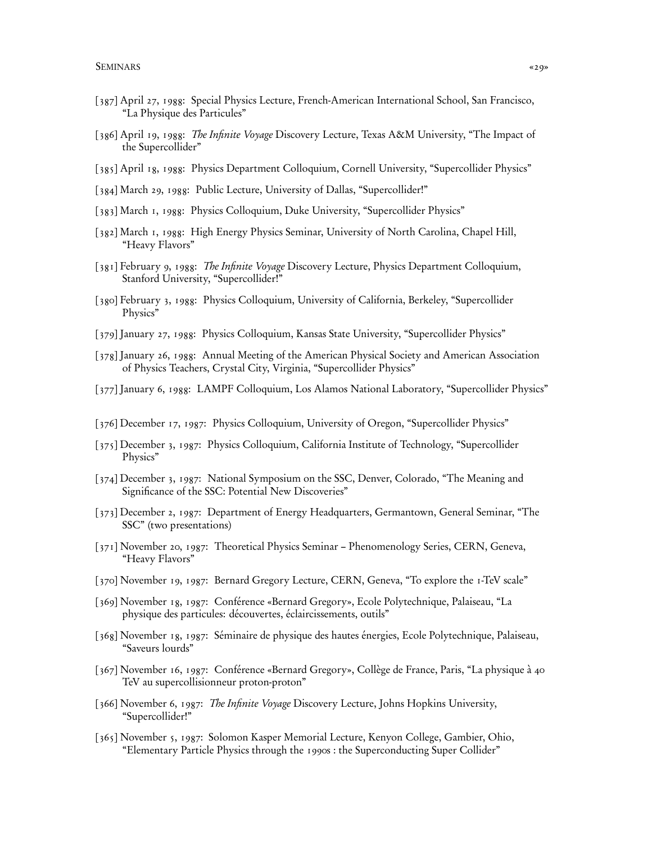- [387] April 27, 1988: Special Physics Lecture, French-American International School, San Francisco, "La Physique des Particules"
- [386] April 19, 1988: The Infinite Voyage Discovery Lecture, Texas A&M University, "The Impact of the Supercollider"
- [385] April 18, 1988: Physics Department Colloquium, Cornell University, "Supercollider Physics"
- [384] March 29, 1988: Public Lecture, University of Dallas, "Supercollider!"
- [383] March 1, 1988: Physics Colloquium, Duke University, "Supercollider Physics"
- [382] March 1, 1988: High Energy Physics Seminar, University of North Carolina, Chapel Hill, "Heavy Flavors"
- [381] February 9, 1988: The Infinite Voyage Discovery Lecture, Physics Department Colloquium, Stanford University, "Supercollider!"
- [380] February 3, 1988: Physics Colloquium, University of California, Berkeley, "Supercollider Physics"
- [379] January 27, 1988: Physics Colloquium, Kansas State University, "Supercollider Physics"
- [378] January 26, 1988: Annual Meeting of the American Physical Society and American Association of Physics Teachers, Crystal City, Virginia, "Supercollider Physics"
- [377] January 6, 1988: LAMPF Colloquium, Los Alamos National Laboratory, "Supercollider Physics"
- [376] December 17, 1987: Physics Colloquium, University of Oregon, "Supercollider Physics"
- [375] December 3, 1987: Physics Colloquium, California Institute of Technology, "Supercollider Physics"
- [374] December 3, 1987: National Symposium on the SSC, Denver, Colorado, "The Meaning and Significance of the SSC: Potential New Discoveries"
- [373] December 2, 1987: Department of Energy Headquarters, Germantown, General Seminar, "The SSC" (two presentations)
- [371] November 20, 1987: Theoretical Physics Seminar Phenomenology Series, CERN, Geneva, "Heavy Flavors"
- [370] November 19, 1987: Bernard Gregory Lecture, CERN, Geneva, "To explore the 1-TeV scale"
- [369] November 18, 1987: Conférence «Bernard Gregory», Ecole Polytechnique, Palaiseau, "La physique des particules: découvertes, éclaircissements, outils"
- [368] November 18, 1987: Séminaire de physique des hautes énergies, Ecole Polytechnique, Palaiseau, "Saveurs lourds"
- [367] November 16, 1987: Conférence «Bernard Gregory», Collège de France, Paris, "La physique à 40 TeV au supercollisionneur proton-proton"
- [366] November 6, 1987: The Infinite Voyage Discovery Lecture, Johns Hopkins University, "Supercollider!"
- [365] November 5, 1987: Solomon Kasper Memorial Lecture, Kenyon College, Gambier, Ohio, "Elementary Particle Physics through the 1990s : the Superconducting Super Collider"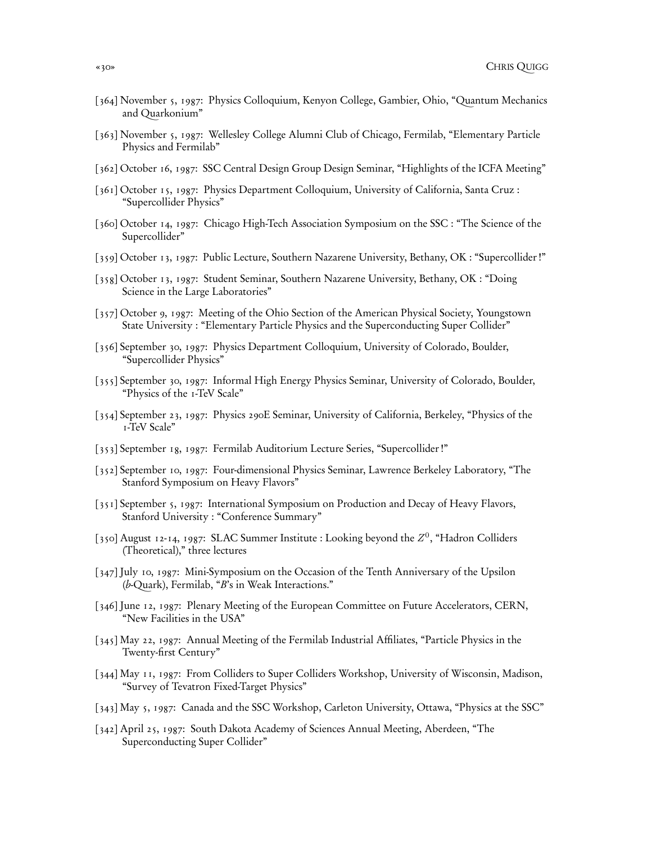- [364] November 5, 1987: Physics Colloquium, Kenyon College, Gambier, Ohio, "Quantum Mechanics and Quarkonium"
- [363] November 5, 1987: Wellesley College Alumni Club of Chicago, Fermilab, "Elementary Particle Physics and Fermilab"
- [362] October 16, 1987: SSC Central Design Group Design Seminar, "Highlights of the ICFA Meeting"
- [361] October 15, 1987: Physics Department Colloquium, University of California, Santa Cruz : "Supercollider Physics"
- [360] October 14, 1987: Chicago High-Tech Association Symposium on the SSC : "The Science of the Supercollider"
- [359] October 13, 1987: Public Lecture, Southern Nazarene University, Bethany, OK : "Supercollider !"
- [358] October 13, 1987: Student Seminar, Southern Nazarene University, Bethany, OK : "Doing Science in the Large Laboratories"
- [357] October 9, 1987: Meeting of the Ohio Section of the American Physical Society, Youngstown State University : "Elementary Particle Physics and the Superconducting Super Collider"
- [356] September 30, 1987: Physics Department Colloquium, University of Colorado, Boulder, "Supercollider Physics"
- [355] September 30, 1987: Informal High Energy Physics Seminar, University of Colorado, Boulder, "Physics of the 1-TeV Scale"
- [354] September 23, 1987: Physics 290E Seminar, University of California, Berkeley, "Physics of the 1-TeV Scale"
- [353] September 18, 1987: Fermilab Auditorium Lecture Series, "Supercollider !"
- [352] September 10, 1987: Four-dimensional Physics Seminar, Lawrence Berkeley Laboratory, "The Stanford Symposium on Heavy Flavors"
- [351] September 5, 1987: International Symposium on Production and Decay of Heavy Flavors, Stanford University : "Conference Summary"
- [350] August 12-14, 1987: SLAC Summer Institute : Looking beyond the  $Z^0$ , "Hadron Colliders (Theoretical)," three lectures
- [347] July 10, 1987: Mini-Symposium on the Occasion of the Tenth Anniversary of the Upsilon (b-Quark), Fermilab, "B's in Weak Interactions."
- [346] June 12, 1987: Plenary Meeting of the European Committee on Future Accelerators, CERN, "New Facilities in the USA"
- [345] May 22, 1987: Annual Meeting of the Fermilab Industrial Affiliates, "Particle Physics in the Twenty-first Century"
- [344] May 11, 1987: From Colliders to Super Colliders Workshop, University of Wisconsin, Madison, "Survey of Tevatron Fixed-Target Physics"
- [343] May 5, 1987: Canada and the SSC Workshop, Carleton University, Ottawa, "Physics at the SSC"
- [342] April 25, 1987: South Dakota Academy of Sciences Annual Meeting, Aberdeen, "The Superconducting Super Collider"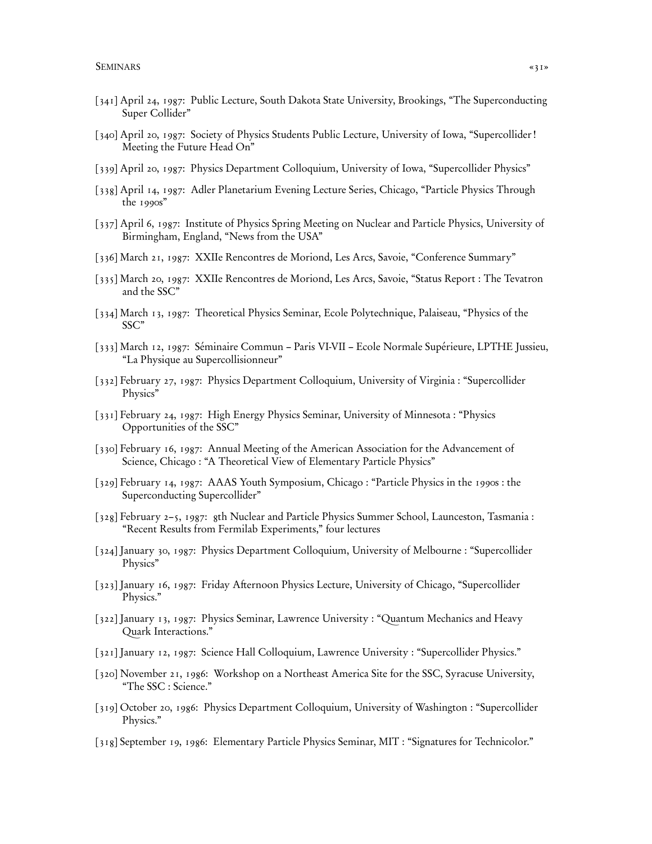- [341] April 24, 1987: Public Lecture, South Dakota State University, Brookings, "The Superconducting Super Collider"
- [340] April 20, 1987: Society of Physics Students Public Lecture, University of Iowa, "Supercollider ! Meeting the Future Head On"
- [339] April 20, 1987: Physics Department Colloquium, University of Iowa, "Supercollider Physics"
- [338] April 14, 1987: Adler Planetarium Evening Lecture Series, Chicago, "Particle Physics Through the 1990s"
- [337] April 6, 1987: Institute of Physics Spring Meeting on Nuclear and Particle Physics, University of Birmingham, England, "News from the USA"
- [336] March 21, 1987: XXIIe Rencontres de Moriond, Les Arcs, Savoie, "Conference Summary"
- [335] March 20, 1987: XXIIe Rencontres de Moriond, Les Arcs, Savoie, "Status Report : The Tevatron and the SSC"
- [334] March 13, 1987: Theoretical Physics Seminar, Ecole Polytechnique, Palaiseau, "Physics of the SSC"
- [333] March 12, 1987: Séminaire Commun Paris VI-VII Ecole Normale Supérieure, LPTHE Jussieu, "La Physique au Supercollisionneur"
- [332] February 27, 1987: Physics Department Colloquium, University of Virginia : "Supercollider Physics"
- [331] February 24, 1987: High Energy Physics Seminar, University of Minnesota : "Physics Opportunities of the SSC"
- [330] February 16, 1987: Annual Meeting of the American Association for the Advancement of Science, Chicago : "A Theoretical View of Elementary Particle Physics"
- [329] February 14, 1987: AAAS Youth Symposium, Chicago : "Particle Physics in the 1990s : the Superconducting Supercollider"
- [328] February 2–5, 1987: 8th Nuclear and Particle Physics Summer School, Launceston, Tasmania : "Recent Results from Fermilab Experiments," four lectures
- [324] January 30, 1987: Physics Department Colloquium, University of Melbourne : "Supercollider Physics"
- [323] January 16, 1987: Friday Afternoon Physics Lecture, University of Chicago, "Supercollider Physics."
- [322] January 13, 1987: Physics Seminar, Lawrence University : "Quantum Mechanics and Heavy Quark Interactions."
- [321] January 12, 1987: Science Hall Colloquium, Lawrence University : "Supercollider Physics."
- [320] November 21, 1986: Workshop on a Northeast America Site for the SSC, Syracuse University, "The SSC : Science."
- [319] October 20, 1986: Physics Department Colloquium, University of Washington : "Supercollider Physics."
- [318] September 19, 1986: Elementary Particle Physics Seminar, MIT : "Signatures for Technicolor."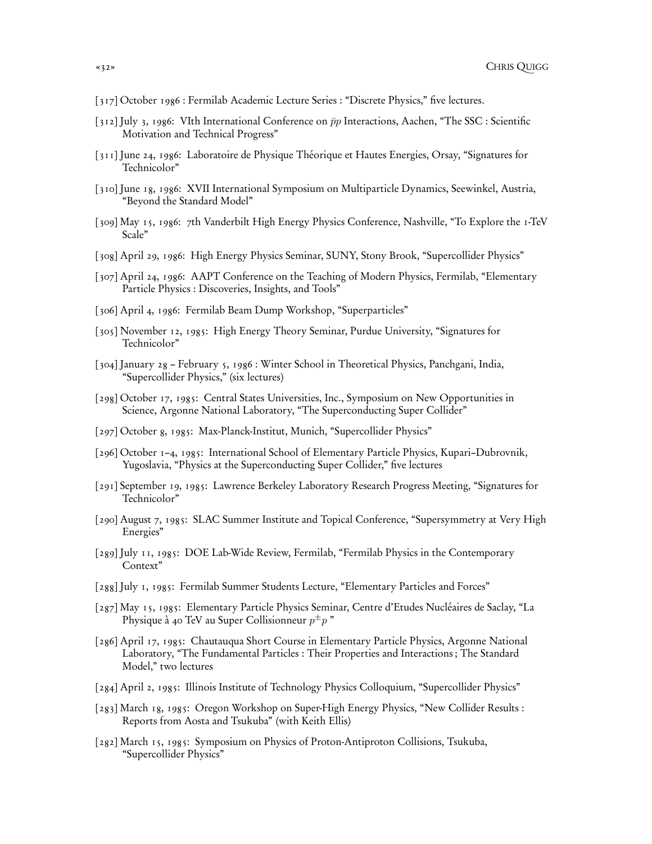- [317] October 1986 : Fermilab Academic Lecture Series : "Discrete Physics," five lectures.
- [312] July 3, 1986: VIth International Conference on  $\bar{p}p$  Interactions, Aachen, "The SSC : Scientific Motivation and Technical Progress"
- [311] June 24, 1986: Laboratoire de Physique Théorique et Hautes Energies, Orsay, "Signatures for Technicolor"
- [310] June 18, 1986: XVII International Symposium on Multiparticle Dynamics, Seewinkel, Austria, "Beyond the Standard Model"
- [309] May 15, 1986: 7th Vanderbilt High Energy Physics Conference, Nashville, "To Explore the 1-TeV Scale"
- [308] April 29, 1986: High Energy Physics Seminar, SUNY, Stony Brook, "Supercollider Physics"
- [307] April 24, 1986: AAPT Conference on the Teaching of Modern Physics, Fermilab, "Elementary Particle Physics : Discoveries, Insights, and Tools"
- [306] April 4, 1986: Fermilab Beam Dump Workshop, "Superparticles"
- [305] November 12, 1985: High Energy Theory Seminar, Purdue University, "Signatures for Technicolor"
- [304] January 28 February 5, 1986 : Winter School in Theoretical Physics, Panchgani, India, "Supercollider Physics," (six lectures)
- [298] October 17, 1985: Central States Universities, Inc., Symposium on New Opportunities in Science, Argonne National Laboratory, "The Superconducting Super Collider"
- [297] October 8, 1985: Max-Planck-Institut, Munich, "Supercollider Physics"
- [296] October 1–4, 1985: International School of Elementary Particle Physics, Kupari–Dubrovnik, Yugoslavia, "Physics at the Superconducting Super Collider," five lectures
- [291] September 19, 1985: Lawrence Berkeley Laboratory Research Progress Meeting, "Signatures for Technicolor"
- [290] August 7, 1985: SLAC Summer Institute and Topical Conference, "Supersymmetry at Very High Energies"
- [289] July 11, 1985: DOE Lab-Wide Review, Fermilab, "Fermilab Physics in the Contemporary Context"
- [288] July 1, 1985: Fermilab Summer Students Lecture, "Elementary Particles and Forces"
- [287] May 15, 1985: Elementary Particle Physics Seminar, Centre d'Etudes Nucléaires de Saclay, "La Physique à 40 TeV au Super Collisionneur  $p^\pm p$  "
- [286] April 17, 1985: Chautauqua Short Course in Elementary Particle Physics, Argonne National Laboratory, "The Fundamental Particles : Their Properties and Interactions ; The Standard Model," two lectures
- [284] April 2, 1985: Illinois Institute of Technology Physics Colloquium, "Supercollider Physics"
- [283] March 18, 1985: Oregon Workshop on Super-High Energy Physics, "New Collider Results : Reports from Aosta and Tsukuba" (with Keith Ellis)
- [282] March 15, 1985: Symposium on Physics of Proton-Antiproton Collisions, Tsukuba, "Supercollider Physics"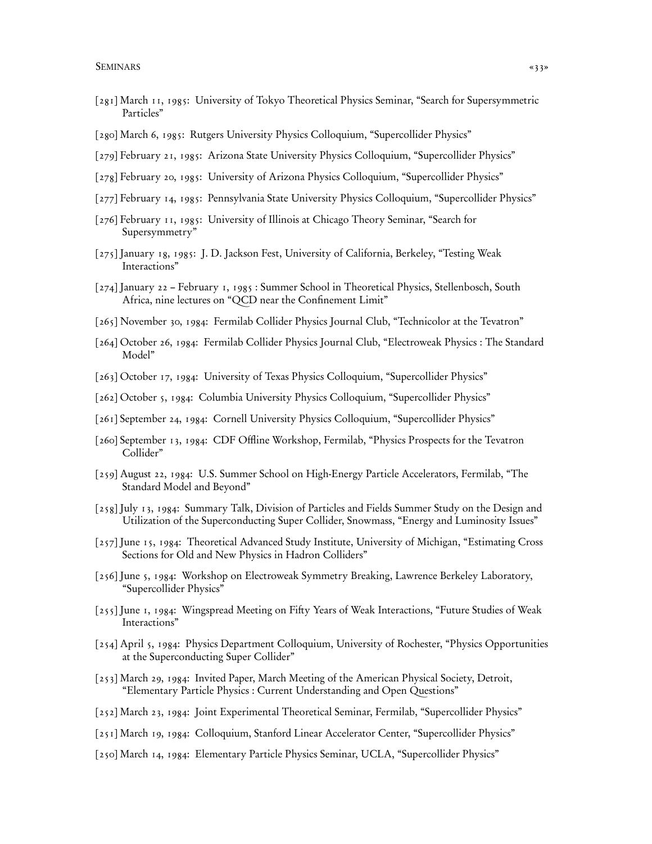- [281] March 11, 1985: University of Tokyo Theoretical Physics Seminar, "Search for Supersymmetric Particles"
- [280] March 6, 1985: Rutgers University Physics Colloquium, "Supercollider Physics"
- [279] February 21, 1985: Arizona State University Physics Colloquium, "Supercollider Physics"
- [278] February 20, 1985: University of Arizona Physics Colloquium, "Supercollider Physics"
- [277] February 14, 1985: Pennsylvania State University Physics Colloquium, "Supercollider Physics"
- [276] February 11, 1985: University of Illinois at Chicago Theory Seminar, "Search for Supersymmetry"
- [275] January 18, 1985: J. D. Jackson Fest, University of California, Berkeley, "Testing Weak Interactions"
- [274] January 22 February 1, 1985 : Summer School in Theoretical Physics, Stellenbosch, South Africa, nine lectures on "QCD near the Confinement Limit"
- [265] November 30, 1984: Fermilab Collider Physics Journal Club, "Technicolor at the Tevatron"
- [264] October 26, 1984: Fermilab Collider Physics Journal Club, "Electroweak Physics : The Standard Model"
- [263] October 17, 1984: University of Texas Physics Colloquium, "Supercollider Physics"
- [262] October 5, 1984: Columbia University Physics Colloquium, "Supercollider Physics"
- [261] September 24, 1984: Cornell University Physics Colloquium, "Supercollider Physics"
- [260] September 13, 1984: CDF Offline Workshop, Fermilab, "Physics Prospects for the Tevatron Collider"
- [259] August 22, 1984: U.S. Summer School on High-Energy Particle Accelerators, Fermilab, "The Standard Model and Beyond"
- [258] July 13, 1984: Summary Talk, Division of Particles and Fields Summer Study on the Design and Utilization of the Superconducting Super Collider, Snowmass, "Energy and Luminosity Issues"
- [257] June 15, 1984: Theoretical Advanced Study Institute, University of Michigan, "Estimating Cross Sections for Old and New Physics in Hadron Colliders"
- [256] June 5, 1984: Workshop on Electroweak Symmetry Breaking, Lawrence Berkeley Laboratory, "Supercollider Physics"
- [255] June 1, 1984: Wingspread Meeting on Fifty Years of Weak Interactions, "Future Studies of Weak Interactions"
- [254] April 5, 1984: Physics Department Colloquium, University of Rochester, "Physics Opportunities at the Superconducting Super Collider"
- [253] March 29, 1984: Invited Paper, March Meeting of the American Physical Society, Detroit, "Elementary Particle Physics : Current Understanding and Open Questions"
- [252] March 23, 1984: Joint Experimental Theoretical Seminar, Fermilab, "Supercollider Physics"
- [251] March 19, 1984: Colloquium, Stanford Linear Accelerator Center, "Supercollider Physics"
- [250] March 14, 1984: Elementary Particle Physics Seminar, UCLA, "Supercollider Physics"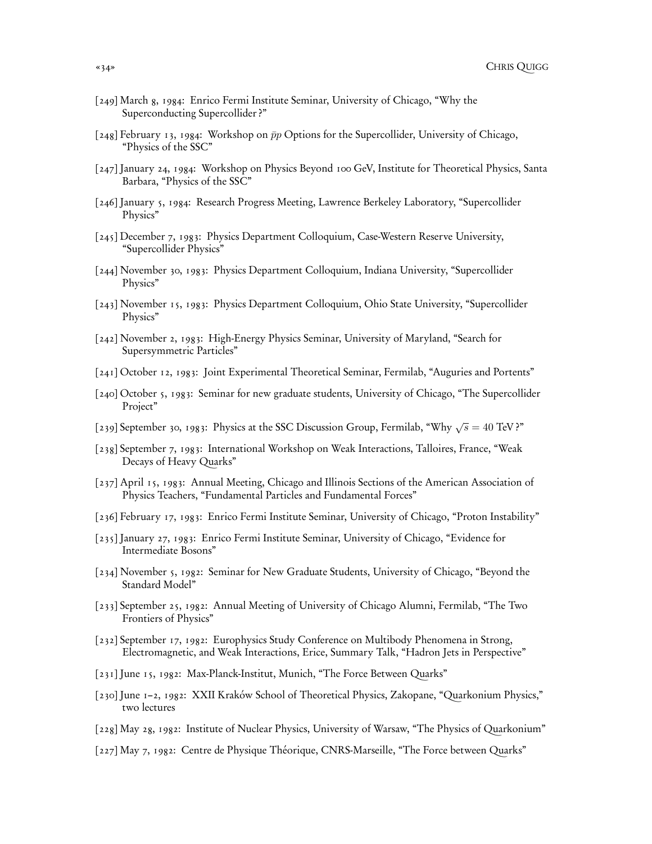- [249] March 8, 1984: Enrico Fermi Institute Seminar, University of Chicago, "Why the Superconducting Supercollider ?"
- [248] February 13, 1984: Workshop on  $\bar{p}p$  Options for the Supercollider, University of Chicago, "Physics of the SSC"
- [247] January 24, 1984: Workshop on Physics Beyond 100 GeV, Institute for Theoretical Physics, Santa Barbara, "Physics of the SSC"
- [246] January 5, 1984: Research Progress Meeting, Lawrence Berkeley Laboratory, "Supercollider Physics"
- [245] December 7, 1983: Physics Department Colloquium, Case-Western Reserve University, "Supercollider Physics"
- [244] November 30, 1983: Physics Department Colloquium, Indiana University, "Supercollider Physics"
- [243] November 15, 1983: Physics Department Colloquium, Ohio State University, "Supercollider Physics"
- [242] November 2, 1983: High-Energy Physics Seminar, University of Maryland, "Search for Supersymmetric Particles"
- [241] October 12, 1983: Joint Experimental Theoretical Seminar, Fermilab, "Auguries and Portents"
- [240] October 5, 1983: Seminar for new graduate students, University of Chicago, "The Supercollider Project"
- [239] September 30, 1983: Physics at the SSC Discussion Group, Fermilab, "Why  $\sqrt{s} = 40$  TeV?"
- [238] September 7, 1983: International Workshop on Weak Interactions, Talloires, France, "Weak Decays of Heavy Quarks"
- [237] April 15, 1983: Annual Meeting, Chicago and Illinois Sections of the American Association of Physics Teachers, "Fundamental Particles and Fundamental Forces"
- [236] February 17, 1983: Enrico Fermi Institute Seminar, University of Chicago, "Proton Instability"
- [235] January 27, 1983: Enrico Fermi Institute Seminar, University of Chicago, "Evidence for Intermediate Bosons"
- [234] November 5, 1982: Seminar for New Graduate Students, University of Chicago, "Beyond the Standard Model"
- [233] September 25, 1982: Annual Meeting of University of Chicago Alumni, Fermilab, "The Two Frontiers of Physics"
- [232] September 17, 1982: Europhysics Study Conference on Multibody Phenomena in Strong, Electromagnetic, and Weak Interactions, Erice, Summary Talk, "Hadron Jets in Perspective"
- [231] June 15, 1982: Max-Planck-Institut, Munich, "The Force Between Quarks"
- [230] June 1–2, 1982: XXII Kraków School of Theoretical Physics, Zakopane, "Quarkonium Physics," two lectures
- [228] May 28, 1982: Institute of Nuclear Physics, University of Warsaw, "The Physics of Quarkonium"
- [227] May 7, 1982: Centre de Physique Théorique, CNRS-Marseille, "The Force between Quarks"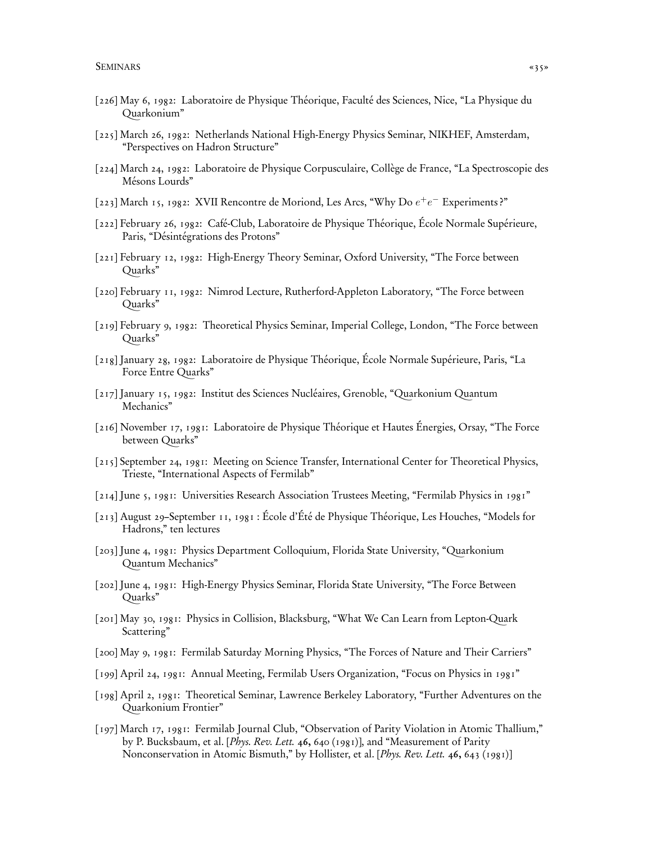- [226] May 6, 1982: Laboratoire de Physique Théorique, Faculté des Sciences, Nice, "La Physique du Quarkonium"
- [225] March 26, 1982: Netherlands National High-Energy Physics Seminar, NIKHEF, Amsterdam, "Perspectives on Hadron Structure"
- [224] March 24, 1982: Laboratoire de Physique Corpusculaire, Collège de France, "La Spectroscopie des Mésons Lourds"
- [223] March 15, 1982: XVII Rencontre de Moriond, Les Arcs, "Why Do  $e^+e^-$  Experiments?"
- [222] February 26, 1982: Café-Club, Laboratoire de Physique Théorique, École Normale Supérieure, Paris, "Désintégrations des Protons"
- [221] February 12, 1982: High-Energy Theory Seminar, Oxford University, "The Force between Quarks"
- [220] February 11, 1982: Nimrod Lecture, Rutherford-Appleton Laboratory, "The Force between Quarks"
- [219] February 9, 1982: Theoretical Physics Seminar, Imperial College, London, "The Force between Quarks"
- [218] January 28, 1982: Laboratoire de Physique Théorique, École Normale Supérieure, Paris, "La Force Entre Quarks"
- [217] January 15, 1982: Institut des Sciences Nucléaires, Grenoble, "Quarkonium Quantum Mechanics"
- [216] November 17, 1981: Laboratoire de Physique Théorique et Hautes Énergies, Orsay, "The Force between Quarks"
- [215] September 24, 1981: Meeting on Science Transfer, International Center for Theoretical Physics, Trieste, "International Aspects of Fermilab"
- [214] June 5, 1981: Universities Research Association Trustees Meeting, "Fermilab Physics in 1981"
- [213] August 29–September 11, 1981 : École d'Été de Physique Théorique, Les Houches, "Models for Hadrons," ten lectures
- [203] June 4, 1981: Physics Department Colloquium, Florida State University, "Quarkonium Quantum Mechanics"
- [202] June 4, 1981: High-Energy Physics Seminar, Florida State University, "The Force Between Quarks"
- [201] May 30, 1981: Physics in Collision, Blacksburg, "What We Can Learn from Lepton-Quark Scattering"
- [200] May 9, 1981: Fermilab Saturday Morning Physics, "The Forces of Nature and Their Carriers"
- [199] April 24, 1981: Annual Meeting, Fermilab Users Organization, "Focus on Physics in 1981"
- [198] April 2, 1981: Theoretical Seminar, Lawrence Berkeley Laboratory, "Further Adventures on the Quarkonium Frontier"
- [197] March 17, 1981: Fermilab Journal Club, "Observation of Parity Violation in Atomic Thallium," by P. Bucksbaum, et al. [Phys. Rev. Lett. 46, 640 (1981)], and "Measurement of Parity Nonconservation in Atomic Bismuth," by Hollister, et al. [Phys. Rev. Lett. 46, 643 (1981)]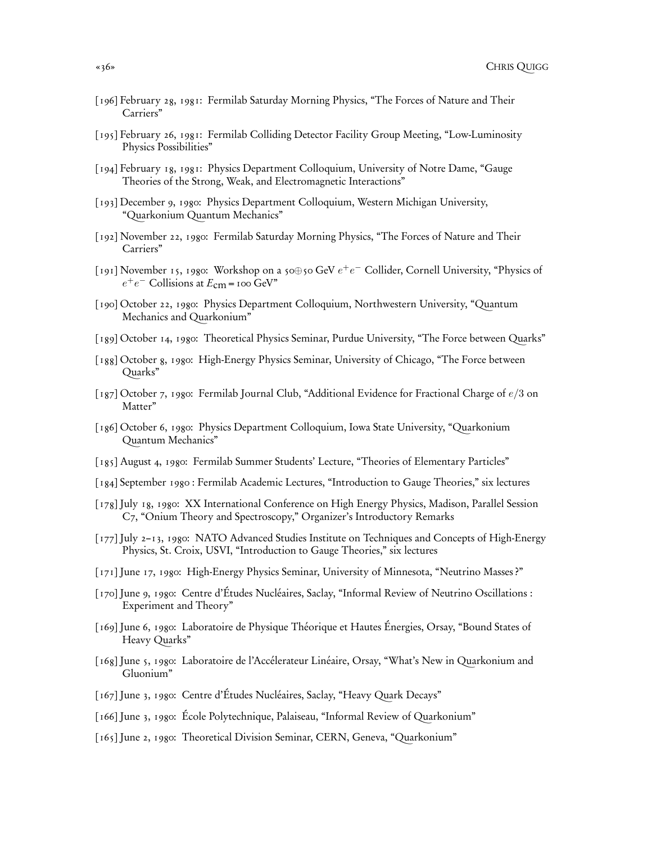- [196] February 28, 1981: Fermilab Saturday Morning Physics, "The Forces of Nature and Their Carriers"
- [195] February 26, 1981: Fermilab Colliding Detector Facility Group Meeting, "Low-Luminosity Physics Possibilities"
- [194] February 18, 1981: Physics Department Colloquium, University of Notre Dame, "Gauge Theories of the Strong, Weak, and Electromagnetic Interactions"
- [193] December 9, 1980: Physics Department Colloquium, Western Michigan University, "Quarkonium Quantum Mechanics"
- [192] November 22, 1980: Fermilab Saturday Morning Physics, "The Forces of Nature and Their Carriers"
- [191] November 15, 1980: Workshop on a 50⊕50 GeV  $e^+e^-$  Collider, Cornell University, "Physics of  $e^+e^-$  Collisions at  $E_{\text{cm}}$  = 100 GeV"
- [190] October 22, 1980: Physics Department Colloquium, Northwestern University, "Quantum Mechanics and Quarkonium"
- [189] October 14, 1980: Theoretical Physics Seminar, Purdue University, "The Force between Quarks"
- [188] October 8, 1980: High-Energy Physics Seminar, University of Chicago, "The Force between Quarks"
- [187] October 7, 1980: Fermilab Journal Club, "Additional Evidence for Fractional Charge of  $e/3$  on Matter"
- [186] October 6, 1980: Physics Department Colloquium, Iowa State University, "Quarkonium Quantum Mechanics"
- [185] August 4, 1980: Fermilab Summer Students' Lecture, "Theories of Elementary Particles"
- [184] September 1980 : Fermilab Academic Lectures, "Introduction to Gauge Theories," six lectures
- [178] July 18, 1980: XX International Conference on High Energy Physics, Madison, Parallel Session C7, "Onium Theory and Spectroscopy," Organizer's Introductory Remarks
- [177] July 2–13, 1980: NATO Advanced Studies Institute on Techniques and Concepts of High-Energy Physics, St. Croix, USVI, "Introduction to Gauge Theories," six lectures
- [171] June 17, 1980: High-Energy Physics Seminar, University of Minnesota, "Neutrino Masses ?"
- [170] June 9, 1980: Centre d'Études Nucléaires, Saclay, "Informal Review of Neutrino Oscillations : Experiment and Theory"
- [169] June 6, 1980: Laboratoire de Physique Théorique et Hautes Énergies, Orsay, "Bound States of Heavy Quarks"
- [168] June 5, 1980: Laboratoire de l'Accélerateur Linéaire, Orsay, "What's New in Quarkonium and Gluonium"
- [167] June 3, 1980: Centre d'Études Nucléaires, Saclay, "Heavy Quark Decays"
- [166] June 3, 1980: École Polytechnique, Palaiseau, "Informal Review of Quarkonium"
- [165] June 2, 1980: Theoretical Division Seminar, CERN, Geneva, "Quarkonium"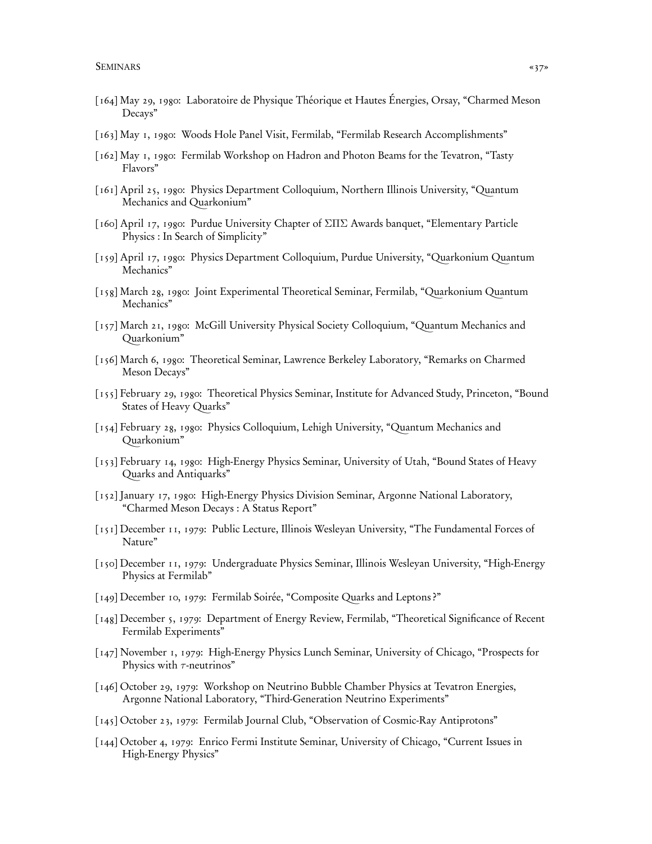- [164] May 29, 1980: Laboratoire de Physique Théorique et Hautes Énergies, Orsay, "Charmed Meson Decays"
- [163] May 1, 1980: Woods Hole Panel Visit, Fermilab, "Fermilab Research Accomplishments"
- [162] May 1, 1980: Fermilab Workshop on Hadron and Photon Beams for the Tevatron, "Tasty Flavors"
- [161] April 25, 1980: Physics Department Colloquium, Northern Illinois University, "Quantum Mechanics and Quarkonium"
- [160] April 17, 1980: Purdue University Chapter of ΣΠΣ Awards banquet, "Elementary Particle Physics : In Search of Simplicity"
- [159] April 17, 1980: Physics Department Colloquium, Purdue University, "Quarkonium Quantum Mechanics"
- [158] March 28, 1980: Joint Experimental Theoretical Seminar, Fermilab, "Quarkonium Quantum Mechanics"
- [157] March 21, 1980: McGill University Physical Society Colloquium, "Quantum Mechanics and Quarkonium"
- [156] March 6, 1980: Theoretical Seminar, Lawrence Berkeley Laboratory, "Remarks on Charmed Meson Decays"
- [155] February 29, 1980: Theoretical Physics Seminar, Institute for Advanced Study, Princeton, "Bound States of Heavy Quarks"
- [154] February 28, 1980: Physics Colloquium, Lehigh University, "Quantum Mechanics and Quarkonium"
- [153] February 14, 1980: High-Energy Physics Seminar, University of Utah, "Bound States of Heavy Quarks and Antiquarks"
- [152] January 17, 1980: High-Energy Physics Division Seminar, Argonne National Laboratory, "Charmed Meson Decays : A Status Report"
- [151] December 11, 1979: Public Lecture, Illinois Wesleyan University, "The Fundamental Forces of Nature"
- [150] December 11, 1979: Undergraduate Physics Seminar, Illinois Wesleyan University, "High-Energy Physics at Fermilab"
- [149] December 10, 1979: Fermilab Soirée, "Composite Quarks and Leptons ?"
- [148] December 5, 1979: Department of Energy Review, Fermilab, "Theoretical Significance of Recent Fermilab Experiments"
- [147] November 1, 1979: High-Energy Physics Lunch Seminar, University of Chicago, "Prospects for Physics with  $\tau$ -neutrinos"
- [146] October 29, 1979: Workshop on Neutrino Bubble Chamber Physics at Tevatron Energies, Argonne National Laboratory, "Third-Generation Neutrino Experiments"
- [145] October 23, 1979: Fermilab Journal Club, "Observation of Cosmic-Ray Antiprotons"
- [144] October 4, 1979: Enrico Fermi Institute Seminar, University of Chicago, "Current Issues in High-Energy Physics"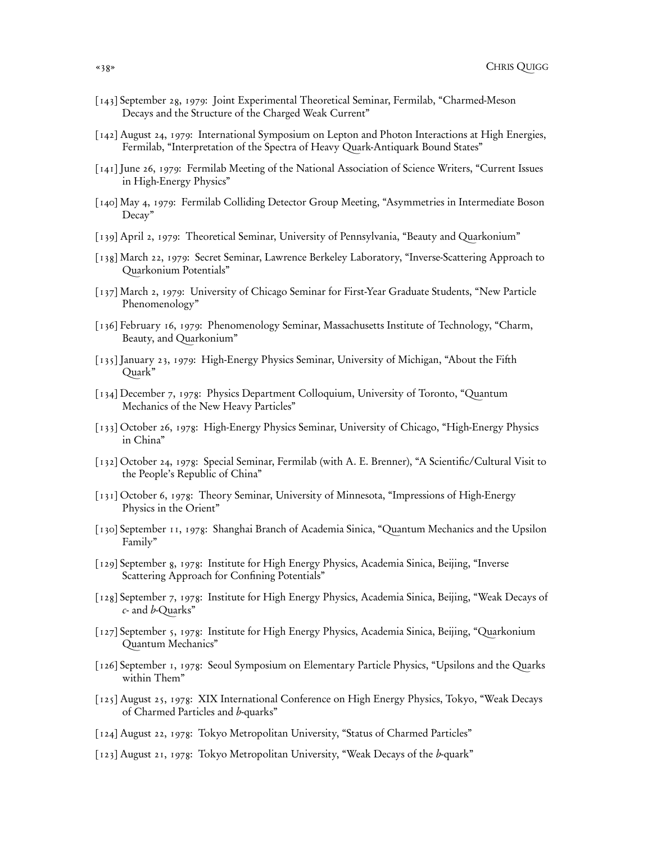- [143] September 28, 1979: Joint Experimental Theoretical Seminar, Fermilab, "Charmed-Meson Decays and the Structure of the Charged Weak Current"
- [142] August 24, 1979: International Symposium on Lepton and Photon Interactions at High Energies, Fermilab, "Interpretation of the Spectra of Heavy Quark-Antiquark Bound States"
- [141] June 26, 1979: Fermilab Meeting of the National Association of Science Writers, "Current Issues in High-Energy Physics"
- [140] May 4, 1979: Fermilab Colliding Detector Group Meeting, "Asymmetries in Intermediate Boson Decay"
- [139] April 2, 1979: Theoretical Seminar, University of Pennsylvania, "Beauty and Quarkonium"
- [138] March 22, 1979: Secret Seminar, Lawrence Berkeley Laboratory, "Inverse-Scattering Approach to Quarkonium Potentials"
- [137] March 2, 1979: University of Chicago Seminar for First-Year Graduate Students, "New Particle Phenomenology"
- [136] February 16, 1979: Phenomenology Seminar, Massachusetts Institute of Technology, "Charm, Beauty, and Quarkonium"
- [135] January 23, 1979: High-Energy Physics Seminar, University of Michigan, "About the Fifth Quark"
- [134] December 7, 1978: Physics Department Colloquium, University of Toronto, "Quantum Mechanics of the New Heavy Particles"
- [133] October 26, 1978: High-Energy Physics Seminar, University of Chicago, "High-Energy Physics in China"
- [132] October 24, 1978: Special Seminar, Fermilab (with A. E. Brenner), "A Scientific/Cultural Visit to the People's Republic of China"
- [131] October 6, 1978: Theory Seminar, University of Minnesota, "Impressions of High-Energy Physics in the Orient"
- [130] September 11, 1978: Shanghai Branch of Academia Sinica, "Quantum Mechanics and the Upsilon Family"
- [129] September 8, 1978: Institute for High Energy Physics, Academia Sinica, Beijing, "Inverse Scattering Approach for Confining Potentials"
- [128] September 7, 1978: Institute for High Energy Physics, Academia Sinica, Beijing, "Weak Decays of c- and b-Quarks"
- [127] September 5, 1978: Institute for High Energy Physics, Academia Sinica, Beijing, "Quarkonium Quantum Mechanics"
- [126] September 1, 1978: Seoul Symposium on Elementary Particle Physics, "Upsilons and the Quarks within Them"
- [125] August 25, 1978: XIX International Conference on High Energy Physics, Tokyo, "Weak Decays of Charmed Particles and b-quarks"
- [124] August 22, 1978: Tokyo Metropolitan University, "Status of Charmed Particles"
- [123] August 21, 1978: Tokyo Metropolitan University, "Weak Decays of the b-quark"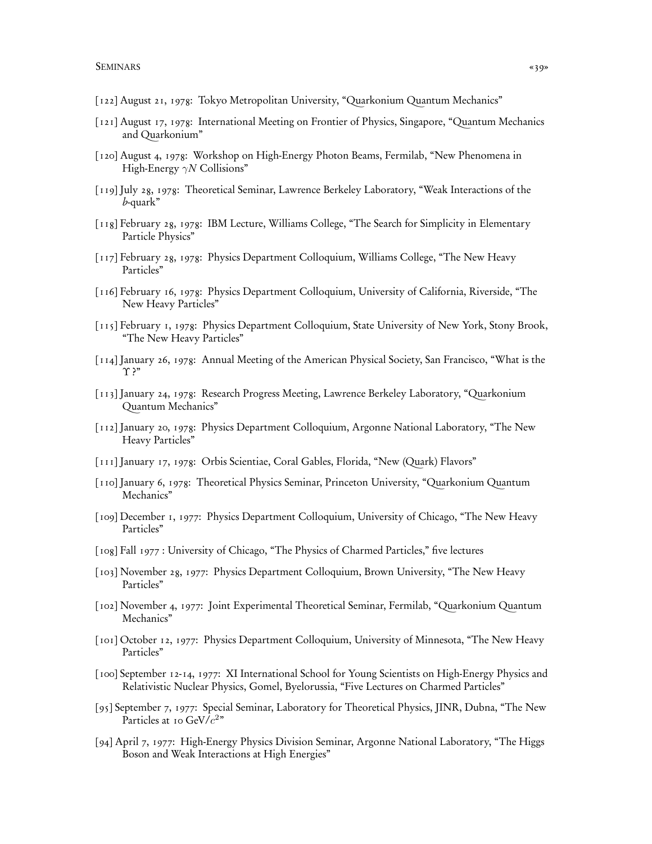- [122] August 21, 1978: Tokyo Metropolitan University, "Quarkonium Quantum Mechanics"
- [121] August 17, 1978: International Meeting on Frontier of Physics, Singapore, "Quantum Mechanics and Quarkonium"
- [120] August 4, 1978: Workshop on High-Energy Photon Beams, Fermilab, "New Phenomena in High-Energy  $\gamma N$  Collisions"
- [119] July 28, 1978: Theoretical Seminar, Lawrence Berkeley Laboratory, "Weak Interactions of the b-quark"
- [118] February 28, 1978: IBM Lecture, Williams College, "The Search for Simplicity in Elementary Particle Physics"
- [117] February 28, 1978: Physics Department Colloquium, Williams College, "The New Heavy Particles"
- [116] February 16, 1978: Physics Department Colloquium, University of California, Riverside, "The New Heavy Particles"
- [115] February 1, 1978: Physics Department Colloquium, State University of New York, Stony Brook, "The New Heavy Particles"
- [114] January 26, 1978: Annual Meeting of the American Physical Society, San Francisco, "What is the Υ ?"
- [113] January 24, 1978: Research Progress Meeting, Lawrence Berkeley Laboratory, "Quarkonium Quantum Mechanics"
- [112] January 20, 1978: Physics Department Colloquium, Argonne National Laboratory, "The New Heavy Particles"
- [111] January 17, 1978: Orbis Scientiae, Coral Gables, Florida, "New (Quark) Flavors"
- [110] January 6, 1978: Theoretical Physics Seminar, Princeton University, "Quarkonium Quantum Mechanics"
- [109] December 1, 1977: Physics Department Colloquium, University of Chicago, "The New Heavy Particles"
- [108] Fall 1977 : University of Chicago, "The Physics of Charmed Particles," five lectures
- [103] November 28, 1977: Physics Department Colloquium, Brown University, "The New Heavy Particles"
- [102] November 4, 1977: Joint Experimental Theoretical Seminar, Fermilab, "Quarkonium Quantum Mechanics"
- [101] October 12, 1977: Physics Department Colloquium, University of Minnesota, "The New Heavy Particles"
- [100] September 12-14, 1977: XI International School for Young Scientists on High-Energy Physics and Relativistic Nuclear Physics, Gomel, Byelorussia, "Five Lectures on Charmed Particles"
- [95] September 7, 1977: Special Seminar, Laboratory for Theoretical Physics, JINR, Dubna, "The New Particles at 10 GeV/ $c^2$ "
- [94] April 7, 1977: High-Energy Physics Division Seminar, Argonne National Laboratory, "The Higgs Boson and Weak Interactions at High Energies"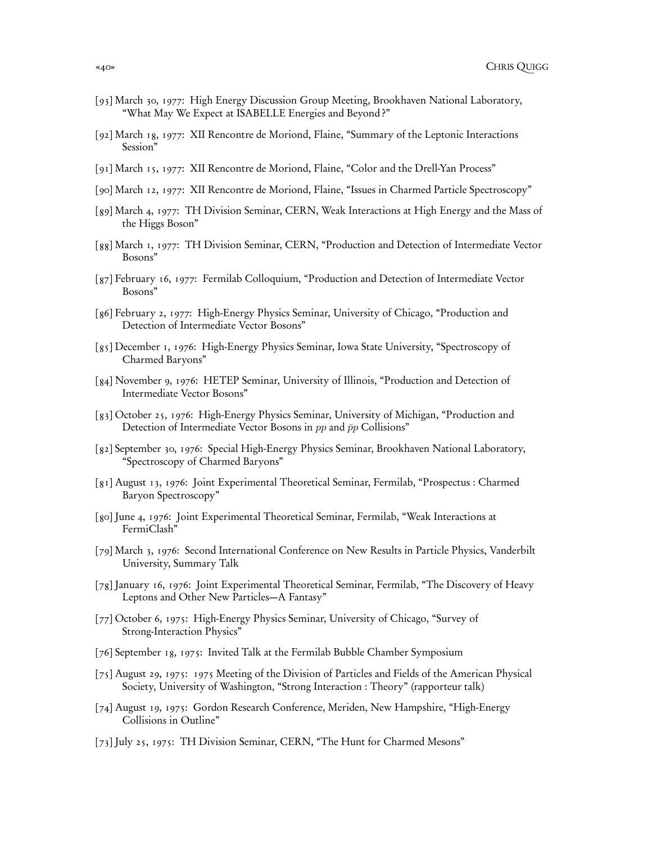- [93] March 30, 1977: High Energy Discussion Group Meeting, Brookhaven National Laboratory, "What May We Expect at ISABELLE Energies and Beyond ?"
- [92] March 18, 1977: XII Rencontre de Moriond, Flaine, "Summary of the Leptonic Interactions Session"
- [91] March 15, 1977: XII Rencontre de Moriond, Flaine, "Color and the Drell-Yan Process"
- [90] March 12, 1977: XII Rencontre de Moriond, Flaine, "Issues in Charmed Particle Spectroscopy"
- [89] March 4, 1977: TH Division Seminar, CERN, Weak Interactions at High Energy and the Mass of the Higgs Boson"
- [88] March 1, 1977: TH Division Seminar, CERN, "Production and Detection of Intermediate Vector Bosons"
- [87] February 16, 1977: Fermilab Colloquium, "Production and Detection of Intermediate Vector Bosons"
- [86] February 2, 1977: High-Energy Physics Seminar, University of Chicago, "Production and Detection of Intermediate Vector Bosons"
- [85] December 1, 1976: High-Energy Physics Seminar, Iowa State University, "Spectroscopy of Charmed Baryons"
- [84] November 9, 1976: HETEP Seminar, University of Illinois, "Production and Detection of Intermediate Vector Bosons"
- [83] October 25, 1976: High-Energy Physics Seminar, University of Michigan, "Production and Detection of Intermediate Vector Bosons in  $pp$  and  $\bar{p}p$  Collisions"
- [82] September 30, 1976: Special High-Energy Physics Seminar, Brookhaven National Laboratory, "Spectroscopy of Charmed Baryons"
- [81] August 13, 1976: Joint Experimental Theoretical Seminar, Fermilab, "Prospectus : Charmed Baryon Spectroscopy"
- [80] June 4, 1976: Joint Experimental Theoretical Seminar, Fermilab, "Weak Interactions at FermiClash"
- [79] March 3, 1976: Second International Conference on New Results in Particle Physics, Vanderbilt University, Summary Talk
- [78] January 16, 1976: Joint Experimental Theoretical Seminar, Fermilab, "The Discovery of Heavy Leptons and Other New Particles—A Fantasy"
- [77] October 6, 1975: High-Energy Physics Seminar, University of Chicago, "Survey of Strong-Interaction Physics"
- [76] September 18, 1975: Invited Talk at the Fermilab Bubble Chamber Symposium
- [75] August 29, 1975: 1975 Meeting of the Division of Particles and Fields of the American Physical Society, University of Washington, "Strong Interaction : Theory" (rapporteur talk)
- [74] August 19, 1975: Gordon Research Conference, Meriden, New Hampshire, "High-Energy Collisions in Outline"
- [73] July 25, 1975: TH Division Seminar, CERN, "The Hunt for Charmed Mesons"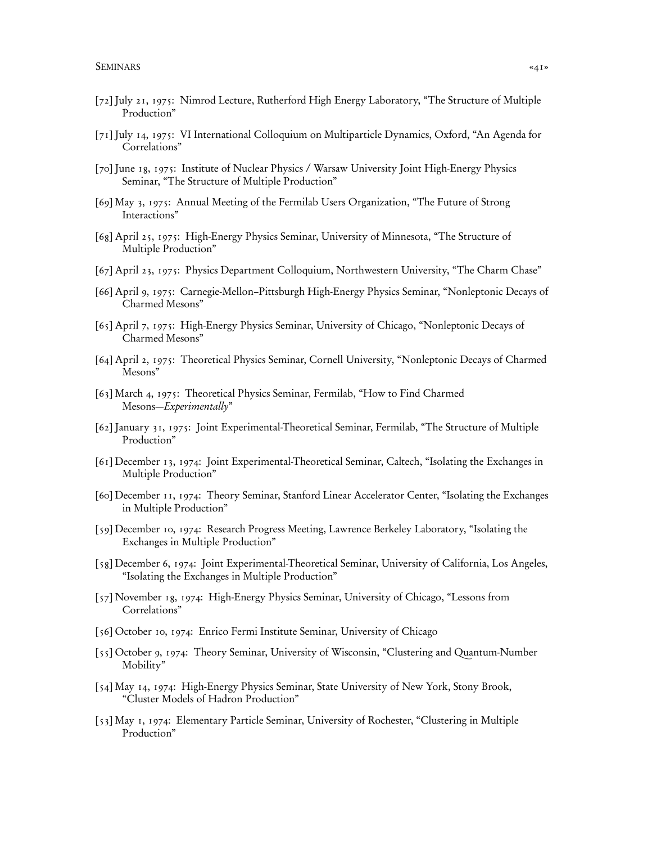- [72] July 21, 1975: Nimrod Lecture, Rutherford High Energy Laboratory, "The Structure of Multiple Production"
- [71] July 14, 1975: VI International Colloquium on Multiparticle Dynamics, Oxford, "An Agenda for Correlations"
- [70] June 18, 1975: Institute of Nuclear Physics / Warsaw University Joint High-Energy Physics Seminar, "The Structure of Multiple Production"
- [69] May 3, 1975: Annual Meeting of the Fermilab Users Organization, "The Future of Strong Interactions"
- [68] April 25, 1975: High-Energy Physics Seminar, University of Minnesota, "The Structure of Multiple Production"
- [67] April 23, 1975: Physics Department Colloquium, Northwestern University, "The Charm Chase"
- [66] April 9, 1975: Carnegie-Mellon–Pittsburgh High-Energy Physics Seminar, "Nonleptonic Decays of Charmed Mesons"
- [65] April 7, 1975: High-Energy Physics Seminar, University of Chicago, "Nonleptonic Decays of Charmed Mesons"
- [64] April 2, 1975: Theoretical Physics Seminar, Cornell University, "Nonleptonic Decays of Charmed Mesons"
- [63] March 4, 1975: Theoretical Physics Seminar, Fermilab, "How to Find Charmed Mesons—Experimentally"
- [62] January 31, 1975: Joint Experimental-Theoretical Seminar, Fermilab, "The Structure of Multiple Production"
- [61] December 13, 1974: Joint Experimental-Theoretical Seminar, Caltech, "Isolating the Exchanges in Multiple Production"
- [60] December 11, 1974: Theory Seminar, Stanford Linear Accelerator Center, "Isolating the Exchanges in Multiple Production"
- [59] December 10, 1974: Research Progress Meeting, Lawrence Berkeley Laboratory, "Isolating the Exchanges in Multiple Production"
- [58] December 6, 1974: Joint Experimental-Theoretical Seminar, University of California, Los Angeles, "Isolating the Exchanges in Multiple Production"
- [57] November 18, 1974: High-Energy Physics Seminar, University of Chicago, "Lessons from Correlations"
- [56] October 10, 1974: Enrico Fermi Institute Seminar, University of Chicago
- [55] October 9, 1974: Theory Seminar, University of Wisconsin, "Clustering and Quantum-Number Mobility"
- [54] May 14, 1974: High-Energy Physics Seminar, State University of New York, Stony Brook, "Cluster Models of Hadron Production"
- [53] May 1, 1974: Elementary Particle Seminar, University of Rochester, "Clustering in Multiple Production"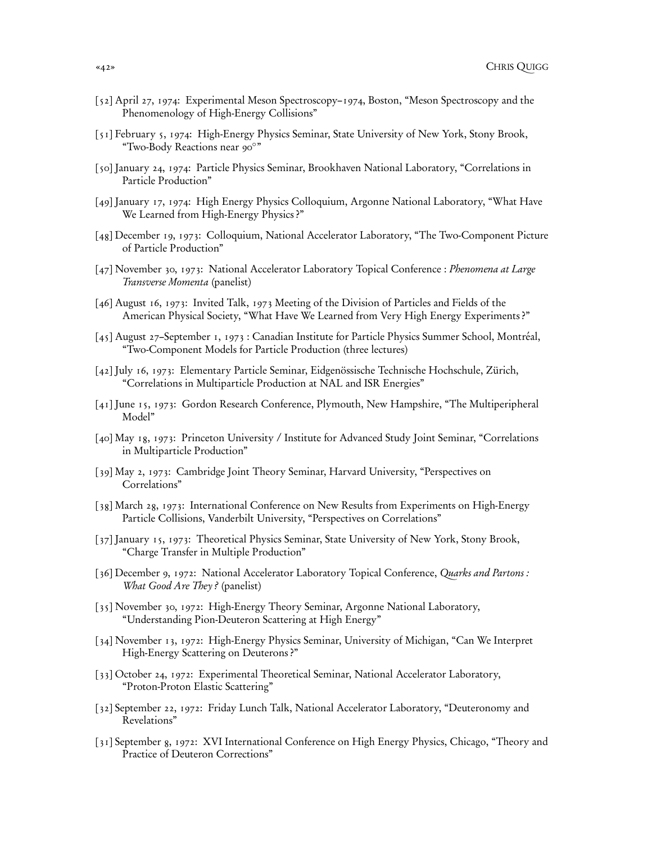- [52] April 27, 1974: Experimental Meson Spectroscopy–1974, Boston, "Meson Spectroscopy and the Phenomenology of High-Energy Collisions"
- [51] February 5, 1974: High-Energy Physics Seminar, State University of New York, Stony Brook, "Two-Body Reactions near 90◦ "
- [50] January 24, 1974: Particle Physics Seminar, Brookhaven National Laboratory, "Correlations in Particle Production"
- [49] January 17, 1974: High Energy Physics Colloquium, Argonne National Laboratory, "What Have We Learned from High-Energy Physics ?"
- [48] December 19, 1973: Colloquium, National Accelerator Laboratory, "The Two-Component Picture of Particle Production"
- [47] November 30, 1973: National Accelerator Laboratory Topical Conference : Phenomena at Large Transverse Momenta (panelist)
- [46] August 16, 1973: Invited Talk, 1973 Meeting of the Division of Particles and Fields of the American Physical Society, "What Have We Learned from Very High Energy Experiments ?"
- [45] August 27–September 1, 1973 : Canadian Institute for Particle Physics Summer School, Montréal, "Two-Component Models for Particle Production (three lectures)
- [42] July 16, 1973: Elementary Particle Seminar, Eidgenössische Technische Hochschule, Zürich, "Correlations in Multiparticle Production at NAL and ISR Energies"
- [41] June 15, 1973: Gordon Research Conference, Plymouth, New Hampshire, "The Multiperipheral Model"
- [40] May 18, 1973: Princeton University / Institute for Advanced Study Joint Seminar, "Correlations in Multiparticle Production"
- [39] May 2, 1973: Cambridge Joint Theory Seminar, Harvard University, "Perspectives on Correlations"
- [38] March 28, 1973: International Conference on New Results from Experiments on High-Energy Particle Collisions, Vanderbilt University, "Perspectives on Correlations"
- [37] January 15, 1973: Theoretical Physics Seminar, State University of New York, Stony Brook, "Charge Transfer in Multiple Production"
- [36] December 9, 1972: National Accelerator Laboratory Topical Conference, Quarks and Partons : What Good Are They? (panelist)
- [35] November 30, 1972: High-Energy Theory Seminar, Argonne National Laboratory, "Understanding Pion-Deuteron Scattering at High Energy"
- [34] November 13, 1972: High-Energy Physics Seminar, University of Michigan, "Can We Interpret High-Energy Scattering on Deuterons?"
- [33] October 24, 1972: Experimental Theoretical Seminar, National Accelerator Laboratory, "Proton-Proton Elastic Scattering"
- [32] September 22, 1972: Friday Lunch Talk, National Accelerator Laboratory, "Deuteronomy and Revelations"
- [31] September 8, 1972: XVI International Conference on High Energy Physics, Chicago, "Theory and Practice of Deuteron Corrections"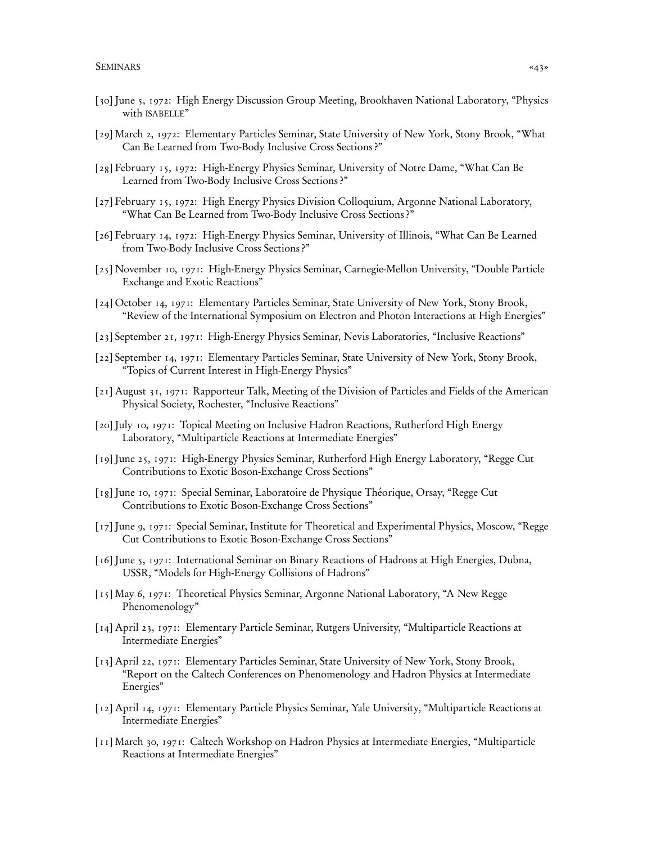- [30] June 5, 1972: High Energy Discussion Group Meeting, Brookhaven National Laboratory, "Physics with ISABELLE"
- [29] March 2, 1972: Elementary Particles Seminar, State University of New York, Stony Brook, "What Can Be Learned from Two-Body Inclusive Cross Sections ?"
- [28] February 15, 1972: High-Energy Physics Seminar, University of Notre Dame, "What Can Be Learned from Two-Body Inclusive Cross Sections ?"
- [27] February 15, 1972: High Energy Physics Division Colloquium, Argonne National Laboratory, "What Can Be Learned from Two-Body Inclusive Cross Sections ?"
- [26] February 14, 1972: High-Energy Physics Seminar, University of Illinois, "What Can Be Learned from Two-Body Inclusive Cross Sections ?"
- [25] November 10, 1971: High-Energy Physics Seminar, Carnegie-Mellon University, "Double Particle Exchange and Exotic Reactions"
- [24] October 14, 1971: Elementary Particles Seminar, State University of New York, Stony Brook, "Review of the International Symposium on Electron and Photon Interactions at High Energies"
- [23] September 21, 1971: High-Energy Physics Seminar, Nevis Laboratories, "Inclusive Reactions"
- [22] September 14, 1971: Elementary Particles Seminar, State University of New York, Stony Brook, "Topics of Current Interest in High-Energy Physics"
- [21] August 31, 1971: Rapporteur Talk, Meeting of the Division of Particles and Fields of the American Physical Society, Rochester, "Inclusive Reactions"
- [20] July 10, 1971: Topical Meeting on Inclusive Hadron Reactions, Rutherford High Energy Laboratory, "Multiparticle Reactions at Intermediate Energies"
- [19] June 25, 1971: High-Energy Physics Seminar, Rutherford High Energy Laboratory, "Regge Cut Contributions to Exotic Boson-Exchange Cross Sections"
- [18] June 10, 1971: Special Seminar, Laboratoire de Physique Théorique, Orsay, "Regge Cut Contributions to Exotic Boson-Exchange Cross Sections"
- [17] June 9, 1971: Special Seminar, Institute for Theoretical and Experimental Physics, Moscow, "Regge Cut Contributions to Exotic Boson-Exchange Cross Sections"
- [16] June 5, 1971: International Seminar on Binary Reactions of Hadrons at High Energies, Dubna, USSR, "Models for High-Energy Collisions of Hadrons"
- [15] May 6, 1971: Theoretical Physics Seminar, Argonne National Laboratory, "A New Regge Phenomenology"
- [14] April 23, 1971: Elementary Particle Seminar, Rutgers University, "Multiparticle Reactions at Intermediate Energies"
- [13] April 22, 1971: Elementary Particles Seminar, State University of New York, Stony Brook, "Report on the Caltech Conferences on Phenomenology and Hadron Physics at Intermediate Energies"
- [12] April 14, 1971: Elementary Particle Physics Seminar, Yale University, "Multiparticle Reactions at Intermediate Energies"
- [11] March 30, 1971: Caltech Workshop on Hadron Physics at Intermediate Energies, "Multiparticle Reactions at Intermediate Energies"